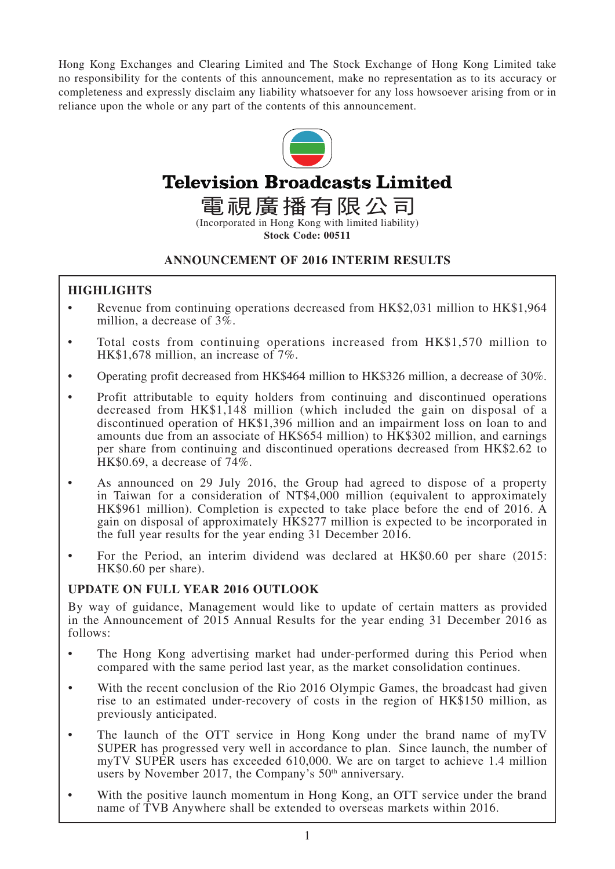Hong Kong Exchanges and Clearing Limited and The Stock Exchange of Hong Kong Limited take no responsibility for the contents of this announcement, make no representation as to its accuracy or completeness and expressly disclaim any liability whatsoever for any loss howsoever arising from or in reliance upon the whole or any part of the contents of this announcement.



# **Television Broadcasts Limited**

電視廣播有限公司

**Stock Code: 00511**

## **ANNOUNCEMENT OF 2016 INTERIM RESULTS**

## **HIGHLIGHTS**

- Revenue from continuing operations decreased from HK\$2,031 million to HK\$1,964 million, a decrease of 3%.
- Total costs from continuing operations increased from HK\$1,570 million to HK\$1,678 million, an increase of 7%.
- Operating profit decreased from HK\$464 million to HK\$326 million, a decrease of 30%.
- Profit attributable to equity holders from continuing and discontinued operations decreased from HK\$1,148 million (which included the gain on disposal of a discontinued operation of HK\$1,396 million and an impairment loss on loan to and amounts due from an associate of HK\$654 million) to HK\$302 million, and earnings per share from continuing and discontinued operations decreased from HK\$2.62 to HK\$0.69, a decrease of 74%.
- As announced on 29 July 2016, the Group had agreed to dispose of a property in Taiwan for a consideration of NT\$4,000 million (equivalent to approximately HK\$961 million). Completion is expected to take place before the end of 2016. A gain on disposal of approximately HK\$277 million is expected to be incorporated in the full year results for the year ending 31 December 2016.
- For the Period, an interim dividend was declared at HK\$0.60 per share (2015: HK\$0.60 per share).

## **UPDATE ON FULL YEAR 2016 OUTLOOK**

By way of guidance, Management would like to update of certain matters as provided in the Announcement of 2015 Annual Results for the year ending 31 December 2016 as follows:

- The Hong Kong advertising market had under-performed during this Period when compared with the same period last year, as the market consolidation continues.
- With the recent conclusion of the Rio 2016 Olympic Games, the broadcast had given rise to an estimated under-recovery of costs in the region of HK\$150 million, as previously anticipated.
- The launch of the OTT service in Hong Kong under the brand name of myTV SUPER has progressed very well in accordance to plan. Since launch, the number of myTV SUPER users has exceeded 610,000. We are on target to achieve 1.4 million users by November 2017, the Company's 50<sup>th</sup> anniversary.
- With the positive launch momentum in Hong Kong, an OTT service under the brand name of TVB Anywhere shall be extended to overseas markets within 2016.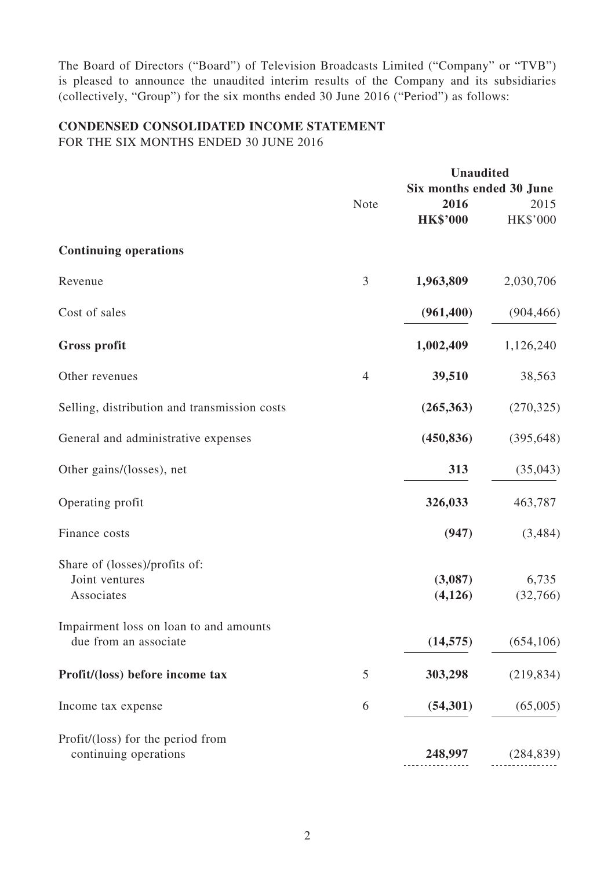The Board of Directors ("Board") of Television Broadcasts Limited ("Company" or "TVB") is pleased to announce the unaudited interim results of the Company and its subsidiaries (collectively, "Group") for the six months ended 30 June 2016 ("Period") as follows:

# **CONDENSED CONSOLIDATED INCOME STATEMENT**

FOR THE SIX MONTHS ENDED 30 JUNE 2016

|                                              |                | <b>Unaudited</b>         |            |  |
|----------------------------------------------|----------------|--------------------------|------------|--|
|                                              |                | Six months ended 30 June |            |  |
|                                              | <b>Note</b>    | 2016                     | 2015       |  |
|                                              |                | <b>HK\$'000</b>          | HK\$'000   |  |
| <b>Continuing operations</b>                 |                |                          |            |  |
| Revenue                                      | 3              | 1,963,809                | 2,030,706  |  |
| Cost of sales                                |                | (961, 400)               | (904, 466) |  |
| <b>Gross profit</b>                          |                | 1,002,409                | 1,126,240  |  |
| Other revenues                               | $\overline{4}$ | 39,510                   | 38,563     |  |
| Selling, distribution and transmission costs |                | (265, 363)               | (270, 325) |  |
| General and administrative expenses          |                | (450, 836)               | (395, 648) |  |
| Other gains/(losses), net                    |                | 313                      | (35, 043)  |  |
| Operating profit                             |                | 326,033                  | 463,787    |  |
| Finance costs                                |                | (947)                    | (3,484)    |  |
| Share of (losses)/profits of:                |                |                          |            |  |
| Joint ventures                               |                | (3,087)                  | 6,735      |  |
| Associates                                   |                | (4,126)                  | (32,766)   |  |
| Impairment loss on loan to and amounts       |                |                          |            |  |
| due from an associate                        |                | (14, 575)                | (654, 106) |  |
| Profit/(loss) before income tax              | 5              | 303,298                  | (219, 834) |  |
| Income tax expense                           | 6              | (54, 301)                | (65,005)   |  |
| Profit/(loss) for the period from            |                |                          |            |  |
| continuing operations                        |                | 248,997                  | (284, 839) |  |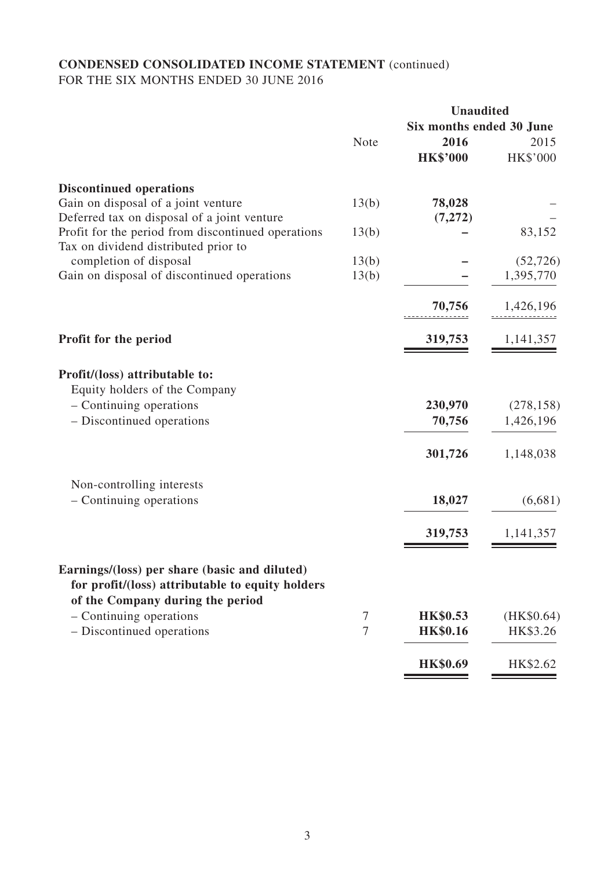## **CONDENSED CONSOLIDATED INCOME STATEMENT** (continued) FOR THE SIX MONTHS ENDED 30 JUNE 2016

|                                                                                                   |        |                          | <b>Unaudited</b> |  |
|---------------------------------------------------------------------------------------------------|--------|--------------------------|------------------|--|
|                                                                                                   |        | Six months ended 30 June |                  |  |
|                                                                                                   | Note   | 2016                     | 2015             |  |
|                                                                                                   |        | <b>HK\$'000</b>          | HK\$'000         |  |
| <b>Discontinued operations</b>                                                                    |        |                          |                  |  |
| Gain on disposal of a joint venture                                                               | 13(b)  | 78,028                   |                  |  |
| Deferred tax on disposal of a joint venture                                                       |        | (7,272)                  |                  |  |
| Profit for the period from discontinued operations                                                | 13(b)  |                          | 83,152           |  |
| Tax on dividend distributed prior to                                                              |        |                          |                  |  |
| completion of disposal                                                                            | 13(b)  |                          | (52, 726)        |  |
| Gain on disposal of discontinued operations                                                       | 13(b)  |                          | 1,395,770        |  |
|                                                                                                   |        | 70,756                   | 1,426,196        |  |
| Profit for the period                                                                             |        | 319,753                  | 1,141,357        |  |
| Profit/(loss) attributable to:<br>Equity holders of the Company                                   |        |                          |                  |  |
| - Continuing operations                                                                           |        | 230,970                  | (278, 158)       |  |
| - Discontinued operations                                                                         |        | 70,756                   | 1,426,196        |  |
|                                                                                                   |        | 301,726                  | 1,148,038        |  |
| Non-controlling interests                                                                         |        |                          |                  |  |
| - Continuing operations                                                                           |        | 18,027                   | (6,681)          |  |
|                                                                                                   |        | 319,753                  | 1,141,357        |  |
| Earnings/(loss) per share (basic and diluted)<br>for profit/(loss) attributable to equity holders |        |                          |                  |  |
| of the Company during the period                                                                  |        |                          |                  |  |
| - Continuing operations                                                                           | $\tau$ | <b>HK\$0.53</b>          | (HK\$0.64)       |  |
| - Discontinued operations                                                                         | $\tau$ | <b>HK\$0.16</b>          | HK\$3.26         |  |
|                                                                                                   |        |                          |                  |  |
|                                                                                                   |        | <b>HK\$0.69</b>          | HK\$2.62         |  |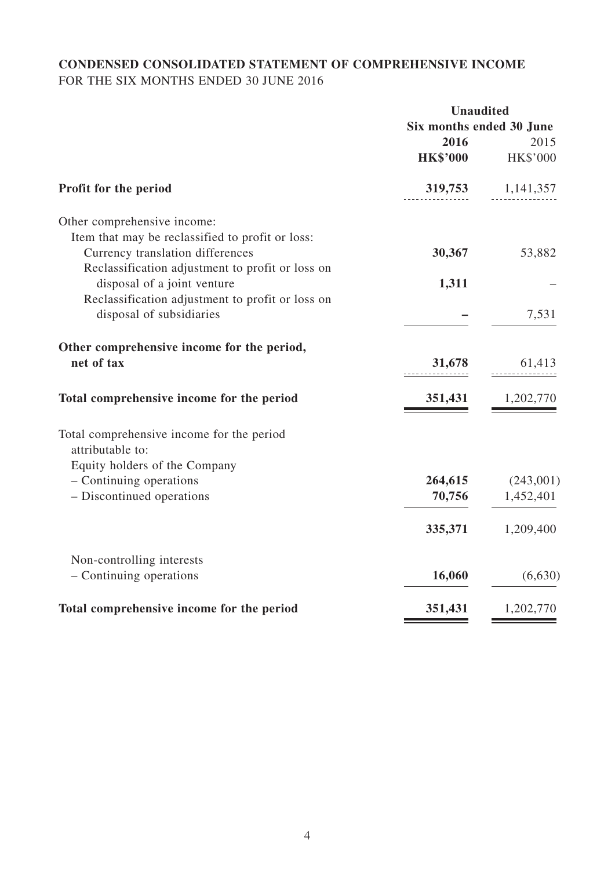## **CONDENSED CONSOLIDATED STATEMENT OF COMPREHENSIVE INCOME** FOR THE SIX MONTHS ENDED 30 JUNE 2016

|                                                  | <b>Unaudited</b>         |             |
|--------------------------------------------------|--------------------------|-------------|
|                                                  | Six months ended 30 June |             |
|                                                  | 2016                     | 2015        |
|                                                  | <b>HK\$'000</b>          | HK\$'000    |
| Profit for the period                            | 319,753                  | 1, 141, 357 |
| Other comprehensive income:                      |                          |             |
| Item that may be reclassified to profit or loss: |                          |             |
| Currency translation differences                 | 30,367                   | 53,882      |
| Reclassification adjustment to profit or loss on |                          |             |
| disposal of a joint venture                      | 1,311                    |             |
| Reclassification adjustment to profit or loss on |                          |             |
| disposal of subsidiaries                         |                          | 7,531       |
| Other comprehensive income for the period,       |                          |             |
| net of tax                                       | 31,678                   | 61,413      |
| Total comprehensive income for the period        | 351,431                  | 1,202,770   |
| Total comprehensive income for the period        |                          |             |
| attributable to:                                 |                          |             |
| Equity holders of the Company                    |                          |             |
| - Continuing operations                          | 264,615                  | (243,001)   |
| - Discontinued operations                        | 70,756                   | 1,452,401   |
|                                                  | 335,371                  | 1,209,400   |
| Non-controlling interests                        |                          |             |
| - Continuing operations                          | 16,060                   | (6,630)     |
| Total comprehensive income for the period        | 351,431                  | 1,202,770   |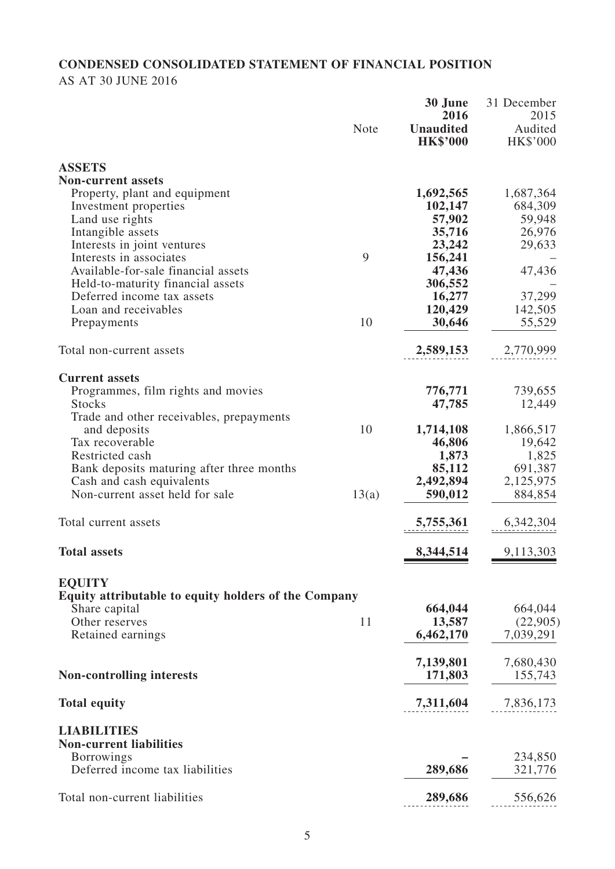# **CONDENSED CONSOLIDATED STATEMENT OF FINANCIAL POSITION**

## AS AT 30 JUNE 2016

|                                                                 | <b>Note</b> | 30 June<br>2016<br><b>Unaudited</b><br><b>HK\$'000</b> | 31 December<br>2015<br>Audited<br><b>HK\$'000</b> |
|-----------------------------------------------------------------|-------------|--------------------------------------------------------|---------------------------------------------------|
| <b>ASSETS</b>                                                   |             |                                                        |                                                   |
| <b>Non-current assets</b>                                       |             |                                                        |                                                   |
| Property, plant and equipment                                   |             | 1,692,565                                              | 1,687,364                                         |
| Investment properties                                           |             | 102,147                                                | 684,309                                           |
| Land use rights                                                 |             | 57,902                                                 | 59,948                                            |
| Intangible assets                                               |             | 35,716                                                 | 26,976                                            |
| Interests in joint ventures                                     |             | 23,242                                                 | 29,633                                            |
| Interests in associates                                         | 9           | 156,241                                                |                                                   |
| Available-for-sale financial assets                             |             | 47,436                                                 | 47,436                                            |
| Held-to-maturity financial assets<br>Deferred income tax assets |             | 306,552<br>16,277                                      | 37,299                                            |
| Loan and receivables                                            |             | 120,429                                                | 142,505                                           |
| Prepayments                                                     | 10          | 30,646                                                 | 55,529                                            |
|                                                                 |             |                                                        |                                                   |
| Total non-current assets                                        |             | 2,589,153                                              | 2,770,999                                         |
|                                                                 |             |                                                        |                                                   |
| <b>Current assets</b>                                           |             | 776,771                                                | 739,655                                           |
| Programmes, film rights and movies<br><b>Stocks</b>             |             | 47,785                                                 | 12,449                                            |
| Trade and other receivables, prepayments                        |             |                                                        |                                                   |
| and deposits                                                    | 10          | 1,714,108                                              | 1,866,517                                         |
| Tax recoverable                                                 |             | 46,806                                                 | 19,642                                            |
| Restricted cash                                                 |             | 1,873                                                  | 1,825                                             |
| Bank deposits maturing after three months                       |             | 85,112                                                 | 691,387                                           |
| Cash and cash equivalents                                       |             | 2,492,894                                              | 2,125,975                                         |
| Non-current asset held for sale                                 | 13(a)       | 590,012                                                | 884,854                                           |
|                                                                 |             |                                                        |                                                   |
| Total current assets                                            |             | 5,755,361                                              | 6,342,304                                         |
| <b>Total assets</b>                                             |             | 8,344,514                                              | 9,113,303                                         |
| <b>EQUITY</b>                                                   |             |                                                        |                                                   |
| Equity attributable to equity holders of the Company            |             |                                                        |                                                   |
| Share capital                                                   | 11          | 664,044                                                | 664,044                                           |
| Other reserves                                                  |             | 13,587<br>6,462,170                                    | (22,905)<br>7,039,291                             |
| Retained earnings                                               |             |                                                        |                                                   |
|                                                                 |             | 7,139,801                                              | 7,680,430                                         |
| <b>Non-controlling interests</b>                                |             | 171,803                                                | 155,743                                           |
|                                                                 |             |                                                        |                                                   |
| <b>Total equity</b>                                             |             | 7,311,604                                              | 7,836,173                                         |
| <b>LIABILITIES</b>                                              |             |                                                        |                                                   |
| <b>Non-current liabilities</b>                                  |             |                                                        |                                                   |
| <b>Borrowings</b>                                               |             |                                                        | 234,850                                           |
| Deferred income tax liabilities                                 |             | 289,686                                                | 321,776                                           |
| Total non-current liabilities                                   |             | 289,686                                                | 556,626                                           |
|                                                                 |             |                                                        |                                                   |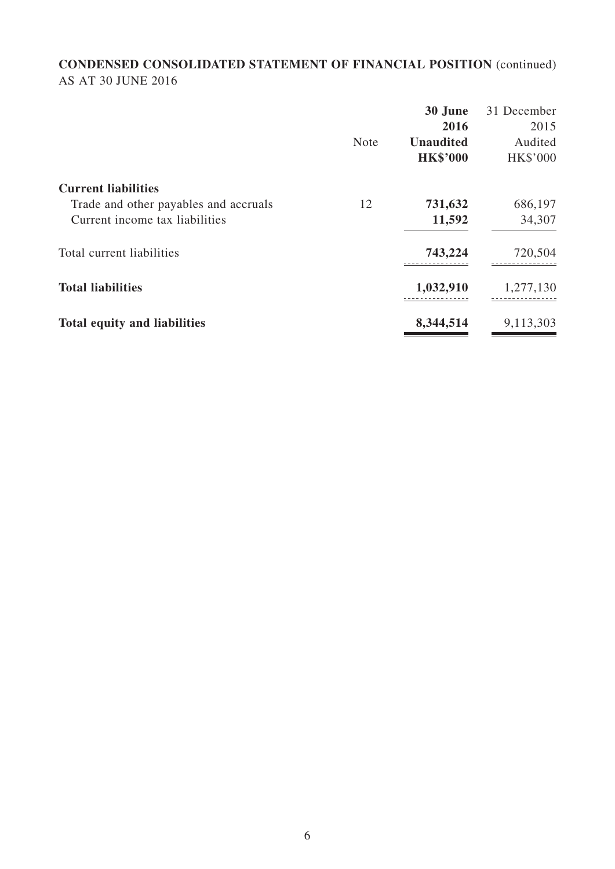## **CONDENSED CONSOLIDATED STATEMENT OF FINANCIAL POSITION** (continued) AS AT 30 JUNE 2016

|                                       |             | 30 June          | 31 December     |
|---------------------------------------|-------------|------------------|-----------------|
|                                       |             | 2016             | 2015            |
|                                       | <b>Note</b> | <b>Unaudited</b> | Audited         |
|                                       |             | <b>HK\$'000</b>  | <b>HK\$'000</b> |
| <b>Current liabilities</b>            |             |                  |                 |
| Trade and other payables and accruals | 12          | 731,632          | 686,197         |
| Current income tax liabilities        |             | 11,592           | 34,307          |
| Total current liabilities             |             | 743,224          | 720,504         |
| <b>Total liabilities</b>              |             | 1,032,910        | 1,277,130       |
| <b>Total equity and liabilities</b>   |             | 8,344,514        | 9,113,303       |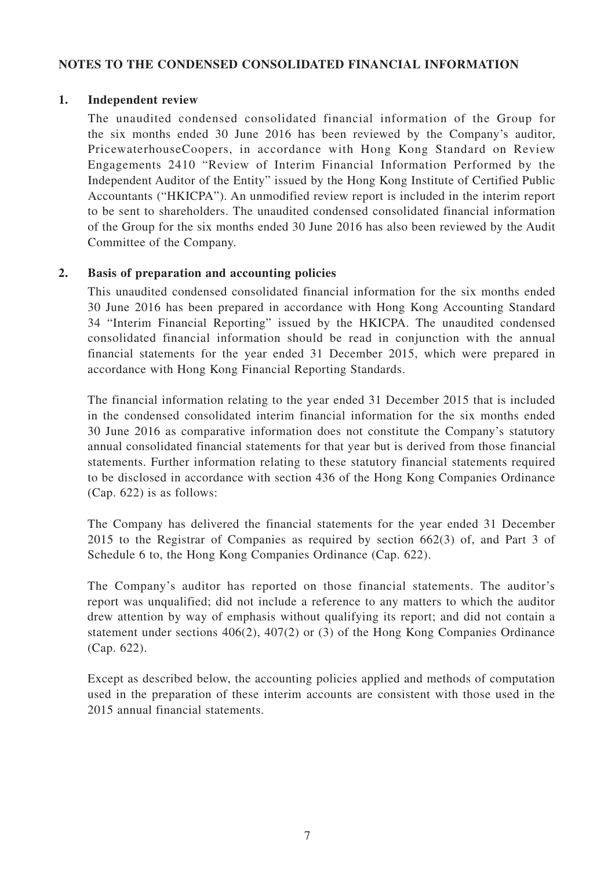## **Notes to the condensed consolidated financial information**

#### **1. Independent review**

The unaudited condensed consolidated financial information of the Group for the six months ended 30 June 2016 has been reviewed by the Company's auditor, PricewaterhouseCoopers, in accordance with Hong Kong Standard on Review Engagements 2410 "Review of Interim Financial Information Performed by the Independent Auditor of the Entity" issued by the Hong Kong Institute of Certified Public Accountants ("HKICPA"). An unmodified review report is included in the interim report to be sent to shareholders. The unaudited condensed consolidated financial information of the Group for the six months ended 30 June 2016 has also been reviewed by the Audit Committee of the Company.

## **2. Basis of preparation and accounting policies**

This unaudited condensed consolidated financial information for the six months ended 30 June 2016 has been prepared in accordance with Hong Kong Accounting Standard 34 "Interim Financial Reporting" issued by the HKICPA. The unaudited condensed consolidated financial information should be read in conjunction with the annual financial statements for the year ended 31 December 2015, which were prepared in accordance with Hong Kong Financial Reporting Standards.

The financial information relating to the year ended 31 December 2015 that is included in the condensed consolidated interim financial information for the six months ended 30 June 2016 as comparative information does not constitute the Company's statutory annual consolidated financial statements for that year but is derived from those financial statements. Further information relating to these statutory financial statements required to be disclosed in accordance with section 436 of the Hong Kong Companies Ordinance (Cap. 622) is as follows:

The Company has delivered the financial statements for the year ended 31 December 2015 to the Registrar of Companies as required by section 662(3) of, and Part 3 of Schedule 6 to, the Hong Kong Companies Ordinance (Cap. 622).

The Company's auditor has reported on those financial statements. The auditor's report was unqualified; did not include a reference to any matters to which the auditor drew attention by way of emphasis without qualifying its report; and did not contain a statement under sections 406(2), 407(2) or (3) of the Hong Kong Companies Ordinance (Cap. 622).

Except as described below, the accounting policies applied and methods of computation used in the preparation of these interim accounts are consistent with those used in the 2015 annual financial statements.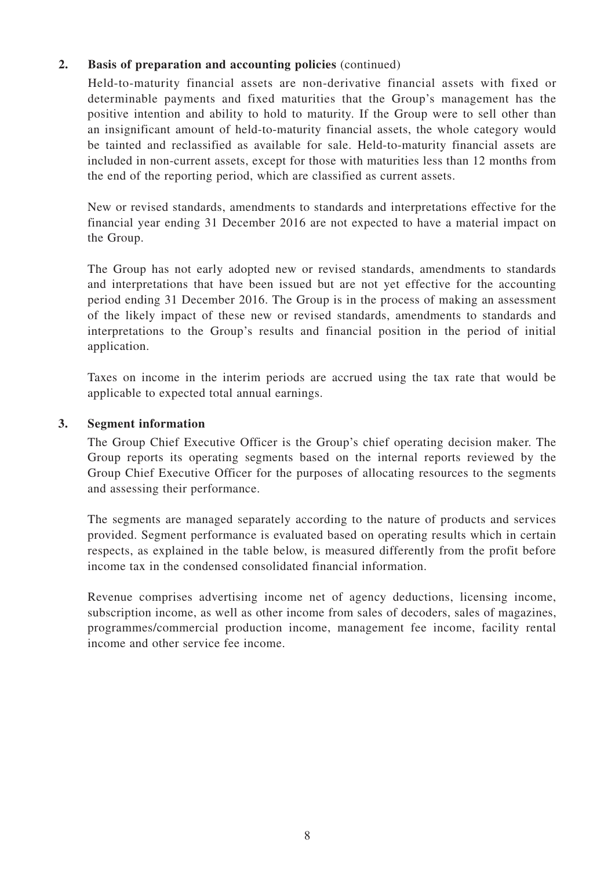## **2. Basis of preparation and accounting policies** (continued)

Held-to-maturity financial assets are non-derivative financial assets with fixed or determinable payments and fixed maturities that the Group's management has the positive intention and ability to hold to maturity. If the Group were to sell other than an insignificant amount of held-to-maturity financial assets, the whole category would be tainted and reclassified as available for sale. Held-to-maturity financial assets are included in non-current assets, except for those with maturities less than 12 months from the end of the reporting period, which are classified as current assets.

New or revised standards, amendments to standards and interpretations effective for the financial year ending 31 December 2016 are not expected to have a material impact on the Group.

The Group has not early adopted new or revised standards, amendments to standards and interpretations that have been issued but are not yet effective for the accounting period ending 31 December 2016. The Group is in the process of making an assessment of the likely impact of these new or revised standards, amendments to standards and interpretations to the Group's results and financial position in the period of initial application.

Taxes on income in the interim periods are accrued using the tax rate that would be applicable to expected total annual earnings.

## **3. Segment information**

The Group Chief Executive Officer is the Group's chief operating decision maker. The Group reports its operating segments based on the internal reports reviewed by the Group Chief Executive Officer for the purposes of allocating resources to the segments and assessing their performance.

The segments are managed separately according to the nature of products and services provided. Segment performance is evaluated based on operating results which in certain respects, as explained in the table below, is measured differently from the profit before income tax in the condensed consolidated financial information.

Revenue comprises advertising income net of agency deductions, licensing income, subscription income, as well as other income from sales of decoders, sales of magazines, programmes/commercial production income, management fee income, facility rental income and other service fee income.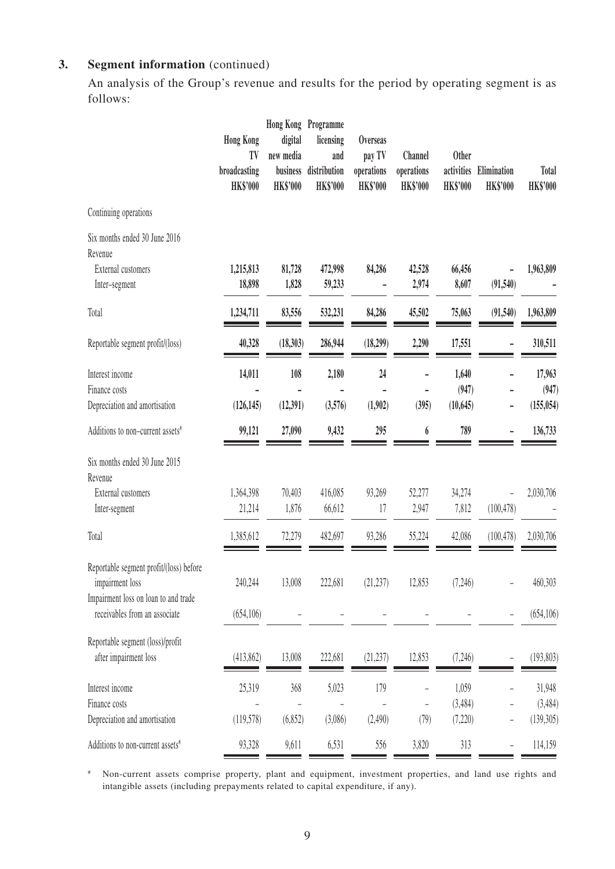## **3. Segment information** (continued)

An analysis of the Group's revenue and results for the period by operating segment is as follows:

|                                                                                                                                     | <b>Hong Kong</b><br>TV<br>broadcasting<br><b>HK\$'000</b> | digital<br>new media<br>business<br><b>HK\$'000</b> | Hong Kong Programme<br>licensing<br>and<br>distribution<br><b>HK\$'000</b> | <b>Overseas</b><br>pay TV<br>operations<br><b>HK\$'000</b> | <b>Channel</b><br>operations<br><b>HK\$'000</b> | <b>Other</b><br>activities<br><b>HK\$'000</b> | Elimination<br><b>HK\$'000</b> | <b>Total</b><br><b>HK\$'000</b> |
|-------------------------------------------------------------------------------------------------------------------------------------|-----------------------------------------------------------|-----------------------------------------------------|----------------------------------------------------------------------------|------------------------------------------------------------|-------------------------------------------------|-----------------------------------------------|--------------------------------|---------------------------------|
| Continuing operations                                                                                                               |                                                           |                                                     |                                                                            |                                                            |                                                 |                                               |                                |                                 |
| Six months ended 30 June 2016<br>Revenue<br><b>External customers</b><br>Inter-segment                                              | 1,215,813<br>18,898                                       | 81,728<br>1,828                                     | 472,998<br>59,233                                                          | 84,286                                                     | 42,528<br>2,974                                 | 66,456<br>8,607                               | (91, 540)                      | 1,963,809                       |
| Total                                                                                                                               | 1,234,711                                                 | 83,556                                              | 532,231                                                                    | 84,286                                                     | 45,502                                          | 75,063                                        | (91, 540)                      | 1,963,809                       |
| Reportable segment profit/(loss)                                                                                                    | 40,328                                                    | (18,303)                                            | 286,944                                                                    | (18,299)                                                   | 2,290                                           | 17,551                                        |                                | 310,511                         |
| Interest income<br>Finance costs<br>Depreciation and amortisation                                                                   | 14,011<br>(126, 145)                                      | 108<br>(12,391)                                     | 2,180<br>(3,576)                                                           | 24<br>(1,902)                                              | -<br>(395)                                      | 1,640<br>(947)<br>(10, 645)                   | $\overline{a}$                 | 17,963<br>(947)<br>(155, 054)   |
| Additions to non-current assets <sup>#</sup>                                                                                        | 99,121                                                    | 27,090                                              | 9,432                                                                      | 295                                                        | 6                                               | 789                                           | L,                             | 136,733                         |
| Six months ended 30 June 2015<br>Revenue<br>External customers<br>Inter-segment                                                     | 1,364,398<br>21,214                                       | 70,403<br>1,876                                     | 416,085<br>66,612                                                          | 93,269<br>17                                               | 52,277<br>2,947                                 | 34,274<br>7,812                               | (100, 478)                     | 2,030,706                       |
| Total                                                                                                                               | 1,385,612                                                 | 72,279                                              | 482,697                                                                    | 93,286                                                     | 55,224                                          | 42,086                                        | (100, 478)                     | 2,030,706                       |
| Reportable segment profit/(loss) before<br>impairment loss<br>Impairment loss on loan to and trade<br>receivables from an associate | 240,244<br>(654, 106)                                     | 13,008                                              | 222,681                                                                    | (21, 237)                                                  | 12,853                                          | (7, 246)                                      |                                | 460,303<br>(654, 106)           |
| Reportable segment (loss)/profit<br>after impairment loss                                                                           | (413,862)                                                 | 13,008                                              | 222,681                                                                    | (21, 237)                                                  | 12,853                                          | (7, 246)                                      |                                | (193, 803)                      |
| Interest income<br>Finance costs<br>Depreciation and amortisation                                                                   | 25,319<br>(119, 578)                                      | 368<br>(6, 852)                                     | 5,023<br>(3,086)                                                           | 179<br>(2,490)                                             | $\overline{\phantom{0}}$<br>(79)                | 1,059<br>(3,484)<br>(7,220)                   |                                | 31,948<br>(3,484)<br>(139, 305) |
| Additions to non-current assets#                                                                                                    | 93,328                                                    | 9,611                                               | 6,531                                                                      | 556                                                        | 3,820                                           | 313                                           | -                              | 114,159                         |

# Non-current assets comprise property, plant and equipment, investment properties, and land use rights and intangible assets (including prepayments related to capital expenditure, if any).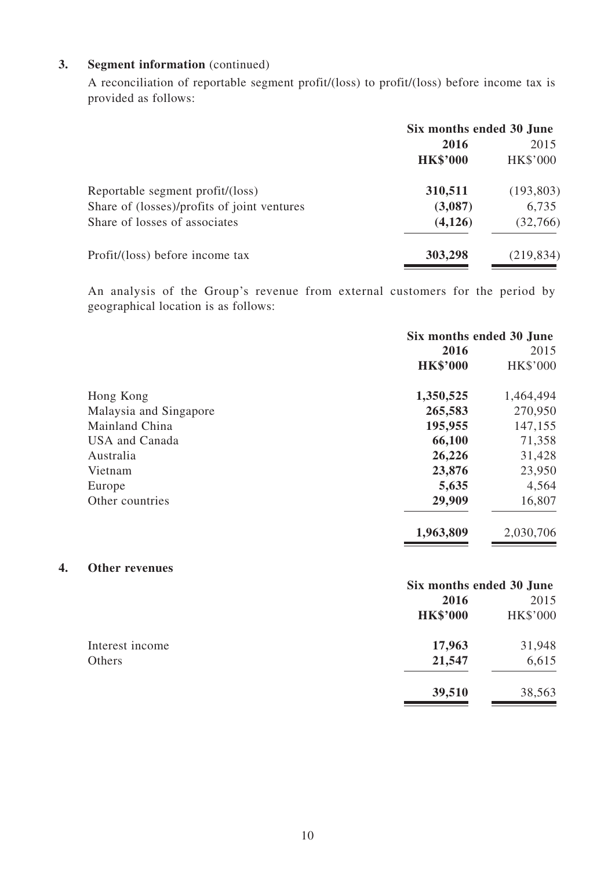## **3. Segment information** (continued)

**4. Other revenues**

A reconciliation of reportable segment profit/(loss) to profit/(loss) before income tax is provided as follows:

|                                             | Six months ended 30 June |                 |  |
|---------------------------------------------|--------------------------|-----------------|--|
|                                             | 2016                     | 2015            |  |
|                                             | <b>HK\$'000</b>          | <b>HK\$'000</b> |  |
| Reportable segment profit/(loss)            | 310,511                  | (193, 803)      |  |
| Share of (losses)/profits of joint ventures | (3,087)                  | 6,735           |  |
| Share of losses of associates               | (4, 126)                 | (32,766)        |  |
| Profit/(loss) before income tax             | 303,298                  | (219, 834)      |  |

An analysis of the Group's revenue from external customers for the period by geographical location is as follows:

|                        | Six months ended 30 June |           |  |
|------------------------|--------------------------|-----------|--|
|                        | 2016                     | 2015      |  |
|                        | <b>HK\$'000</b>          | HK\$'000  |  |
| Hong Kong              | 1,350,525                | 1,464,494 |  |
| Malaysia and Singapore | 265,583                  | 270,950   |  |
| Mainland China         | 195,955                  | 147,155   |  |
| <b>USA</b> and Canada  | 66,100                   | 71,358    |  |
| Australia              | 26,226                   | 31,428    |  |
| Vietnam                | 23,876                   | 23,950    |  |
| Europe                 | 5,635                    | 4,564     |  |
| Other countries        | 29,909                   | 16,807    |  |
|                        | 1,963,809                | 2,030,706 |  |
| <b>Other revenues</b>  |                          |           |  |
|                        | Six months ended 30 June |           |  |
|                        | 2016                     | 2015      |  |
|                        | <b>HK\$'000</b>          | HK\$'000  |  |
| Interest income        | 17,963                   | 31,948    |  |
| Others                 | 21,547                   | 6,615     |  |
|                        | 39,510                   | 38,563    |  |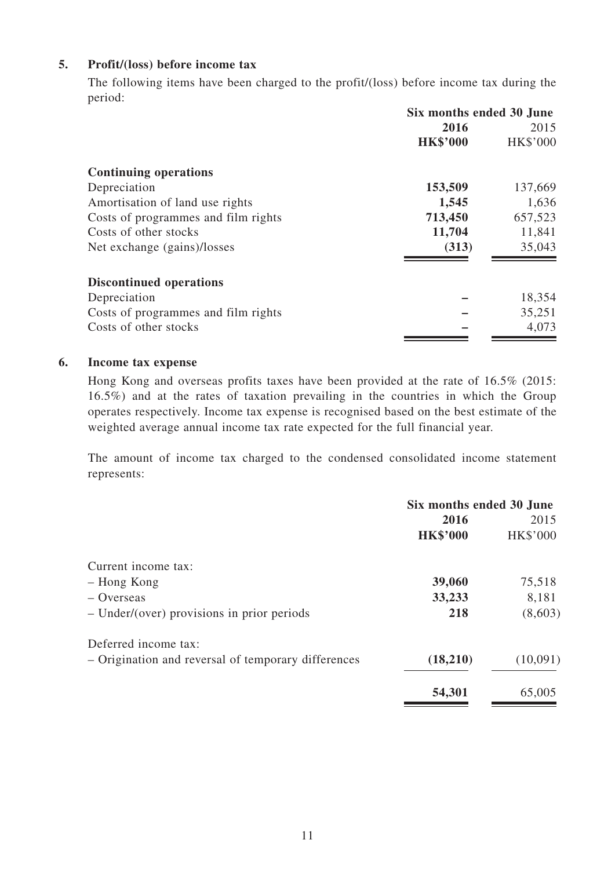## **5. Profit/(loss) before income tax**

The following items have been charged to the profit/(loss) before income tax during the period:

|                                     | Six months ended 30 June |                 |  |
|-------------------------------------|--------------------------|-----------------|--|
|                                     | 2016                     | 2015            |  |
|                                     | <b>HK\$'000</b>          | <b>HK\$'000</b> |  |
| <b>Continuing operations</b>        |                          |                 |  |
| Depreciation                        | 153,509                  | 137,669         |  |
| Amortisation of land use rights     | 1,545                    | 1,636           |  |
| Costs of programmes and film rights | 713,450                  | 657,523         |  |
| Costs of other stocks               | 11,704                   | 11,841          |  |
| Net exchange (gains)/losses         | (313)                    | 35,043          |  |
| <b>Discontinued operations</b>      |                          |                 |  |
| Depreciation                        |                          | 18,354          |  |
| Costs of programmes and film rights |                          | 35,251          |  |
| Costs of other stocks               |                          | 4,073           |  |

#### **6. Income tax expense**

Hong Kong and overseas profits taxes have been provided at the rate of 16.5% (2015: 16.5%) and at the rates of taxation prevailing in the countries in which the Group operates respectively. Income tax expense is recognised based on the best estimate of the weighted average annual income tax rate expected for the full financial year.

The amount of income tax charged to the condensed consolidated income statement represents:

|                                                     | Six months ended 30 June |          |  |
|-----------------------------------------------------|--------------------------|----------|--|
|                                                     | 2016                     | 2015     |  |
|                                                     | <b>HK\$'000</b>          | HK\$'000 |  |
| Current income tax:                                 |                          |          |  |
| - Hong Kong                                         | 39,060                   | 75,518   |  |
| $-$ Overseas                                        | 33,233                   | 8,181    |  |
| $-$ Under/(over) provisions in prior periods        | 218                      | (8,603)  |  |
| Deferred income tax:                                |                          |          |  |
| - Origination and reversal of temporary differences | (18,210)                 | (10,091) |  |
|                                                     | 54,301                   | 65,005   |  |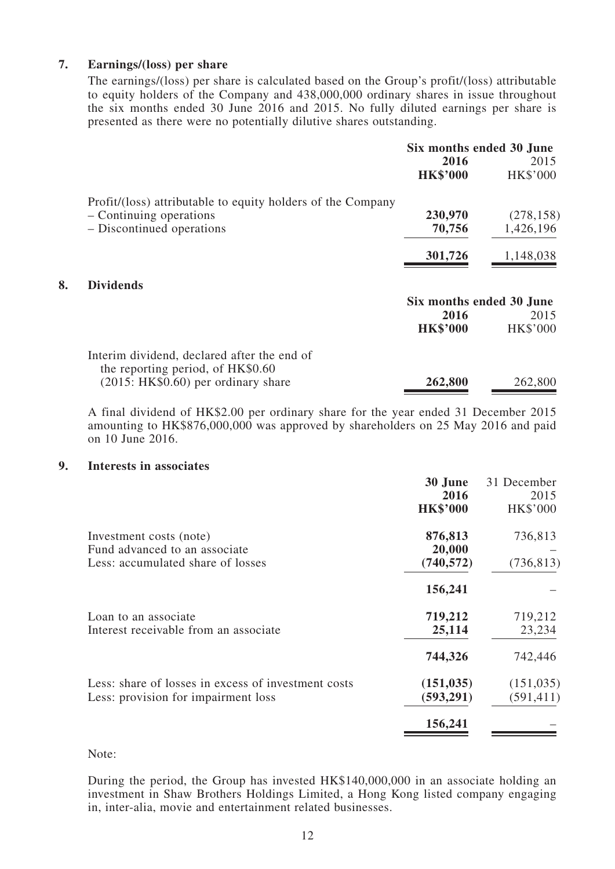#### **7. Earnings/(loss) per share**

The earnings/(loss) per share is calculated based on the Group's profit/(loss) attributable to equity holders of the Company and 438,000,000 ordinary shares in issue throughout the six months ended 30 June 2016 and 2015. No fully diluted earnings per share is presented as there were no potentially dilutive shares outstanding.

|                                                             | Six months ended 30 June |                 |
|-------------------------------------------------------------|--------------------------|-----------------|
|                                                             | 2016                     | 2015            |
|                                                             | <b>HK\$'000</b>          | <b>HK\$'000</b> |
| Profit/(loss) attributable to equity holders of the Company |                          |                 |
| - Continuing operations                                     | 230,970                  | (278, 158)      |
| - Discontinued operations                                   | 70,756                   | 1,426,196       |
|                                                             | 301,726                  | 1,148,038       |
| <b>Dividends</b>                                            |                          |                 |
|                                                             | Six months ended 30 June |                 |
|                                                             | 2016                     | 2015            |
|                                                             | <b>HK\$'000</b>          | <b>HK\$'000</b> |
| Interim dividend, declared after the end of                 |                          |                 |
| the reporting period, of HK\$0.60                           |                          |                 |
| $(2015: HK$0.60)$ per ordinary share                        | 262,800                  | 262,800         |

A final dividend of HK\$2.00 per ordinary share for the year ended 31 December 2015 amounting to HK\$876,000,000 was approved by shareholders on 25 May 2016 and paid on 10 June 2016.

#### **9. Interests in associates**

**8. Dividends**

|                                                                                               | 30 June<br>2016<br><b>HK\$'000</b> | 31 December<br>2015<br>HK\$'000 |
|-----------------------------------------------------------------------------------------------|------------------------------------|---------------------------------|
| Investment costs (note)<br>Fund advanced to an associate<br>Less: accumulated share of losses | 876,813<br>20,000<br>(740, 572)    | 736,813<br>(736, 813)           |
|                                                                                               | 156,241                            |                                 |
| Loan to an associate<br>Interest receivable from an associate                                 | 719,212<br>25,114                  | 719,212<br>23,234               |
|                                                                                               | 744,326                            | 742,446                         |
| Less: share of losses in excess of investment costs<br>Less: provision for impairment loss    | (151, 035)<br>(593, 291)           | (151, 035)<br>(591, 411)        |
|                                                                                               | 156,241                            |                                 |

#### Note:

During the period, the Group has invested HK\$140,000,000 in an associate holding an investment in Shaw Brothers Holdings Limited, a Hong Kong listed company engaging in, inter-alia, movie and entertainment related businesses.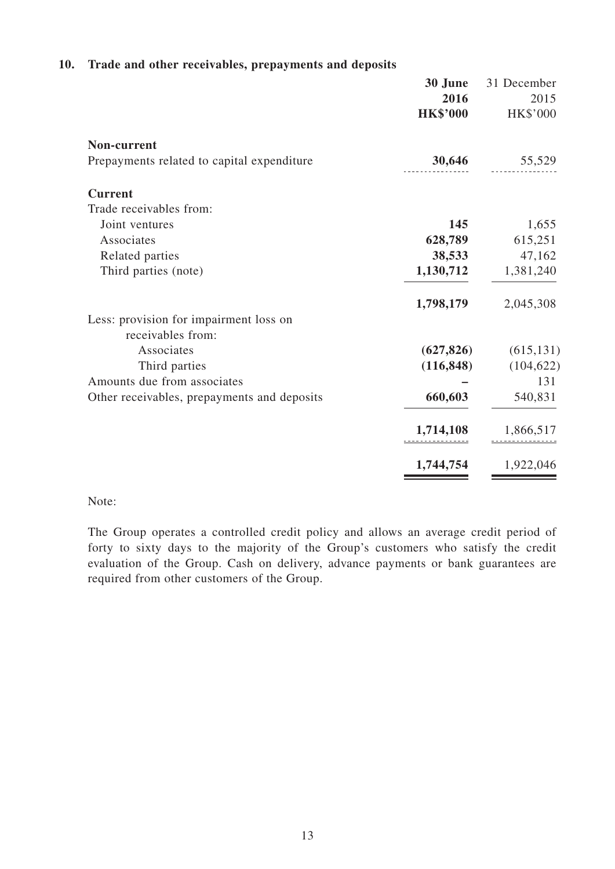## **10. Trade and other receivables, prepayments and deposits**

|                                             | 30 June         | 31 December     |
|---------------------------------------------|-----------------|-----------------|
|                                             | 2016            | 2015            |
|                                             | <b>HK\$'000</b> | <b>HK\$'000</b> |
| Non-current                                 |                 |                 |
| Prepayments related to capital expenditure  | 30,646          | 55,529          |
| <b>Current</b>                              |                 |                 |
| Trade receivables from:                     |                 |                 |
| Joint ventures                              | 145             | 1,655           |
| Associates                                  | 628,789         | 615,251         |
| Related parties                             | 38,533          | 47,162          |
| Third parties (note)                        | 1,130,712       | 1,381,240       |
|                                             | 1,798,179       | 2,045,308       |
| Less: provision for impairment loss on      |                 |                 |
| receivables from:                           |                 |                 |
| Associates                                  | (627, 826)      | (615, 131)      |
| Third parties                               | (116, 848)      | (104, 622)      |
| Amounts due from associates                 |                 | 131             |
| Other receivables, prepayments and deposits | 660,603         | 540,831         |
|                                             | 1,714,108       | 1,866,517       |
|                                             | 1,744,754       | 1,922,046       |

#### Note:

The Group operates a controlled credit policy and allows an average credit period of forty to sixty days to the majority of the Group's customers who satisfy the credit evaluation of the Group. Cash on delivery, advance payments or bank guarantees are required from other customers of the Group.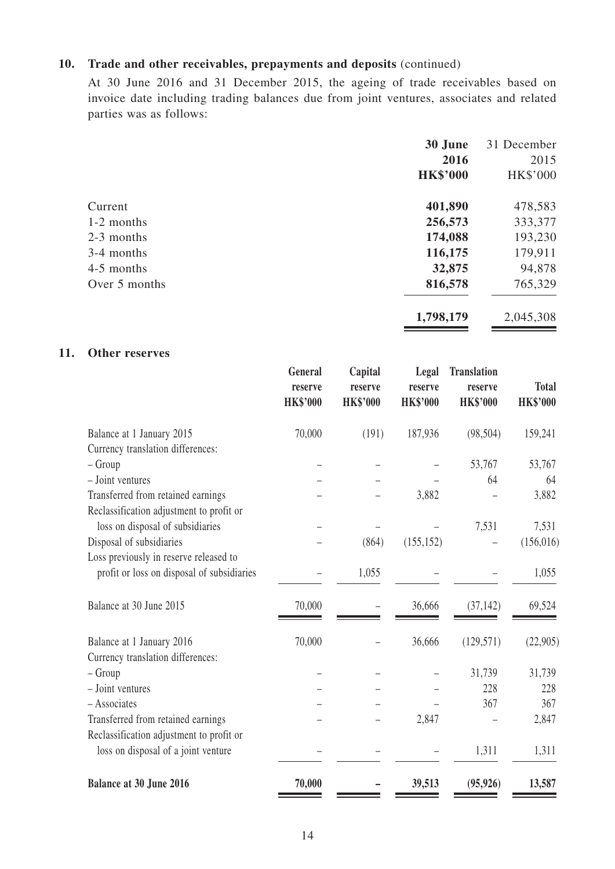#### **10. Trade and other receivables, prepayments and deposits** (continued)

At 30 June 2016 and 31 December 2015, the ageing of trade receivables based on invoice date including trading balances due from joint ventures, associates and related parties was as follows:

|               | 30 June         | 31 December |
|---------------|-----------------|-------------|
|               | 2016            | 2015        |
|               | <b>HK\$'000</b> | HK\$'000    |
| Current       | 401,890         | 478,583     |
| 1-2 months    | 256,573         | 333,377     |
| 2-3 months    | 174,088         | 193,230     |
| 3-4 months    | 116,175         | 179,911     |
| 4-5 months    | 32,875          | 94,878      |
| Over 5 months | 816,578         | 765,329     |
|               | 1,798,179       | 2,045,308   |

#### **11. Other reserves**

|                                            | General<br>reserve<br><b>HK\$'000</b> | Capital<br>reserve<br><b>HK\$'000</b> | Legal<br>reserve<br><b>HK\$'000</b> | <b>Translation</b><br>reserve<br><b>HK\$'000</b> | <b>Total</b><br><b>HK\$'000</b> |
|--------------------------------------------|---------------------------------------|---------------------------------------|-------------------------------------|--------------------------------------------------|---------------------------------|
| Balance at 1 January 2015                  | 70,000                                | (191)                                 | 187,936                             | (98, 504)                                        | 159,241                         |
| Currency translation differences:          |                                       |                                       |                                     |                                                  |                                 |
| $-$ Group                                  |                                       |                                       |                                     | 53,767                                           | 53,767                          |
| - Joint ventures                           |                                       |                                       |                                     | 64                                               | 64                              |
| Transferred from retained earnings         |                                       |                                       | 3,882                               |                                                  | 3,882                           |
| Reclassification adjustment to profit or   |                                       |                                       |                                     |                                                  |                                 |
| loss on disposal of subsidiaries           |                                       |                                       |                                     | 7,531                                            | 7,531                           |
| Disposal of subsidiaries                   |                                       | (864)                                 | (155, 152)                          |                                                  | (156,016)                       |
| Loss previously in reserve released to     |                                       |                                       |                                     |                                                  |                                 |
| profit or loss on disposal of subsidiaries |                                       | 1,055                                 |                                     |                                                  | 1,055                           |
| Balance at 30 June 2015                    | 70,000                                |                                       | 36,666                              | (37, 142)                                        | 69,524                          |
| Balance at 1 January 2016                  | 70,000                                |                                       | 36,666                              | (129, 571)                                       | (22,905)                        |
| Currency translation differences:          |                                       |                                       |                                     |                                                  |                                 |
| $-$ Group                                  |                                       |                                       |                                     | 31,739                                           | 31,739                          |
| - Joint ventures                           |                                       |                                       |                                     | 228                                              | 228                             |
| - Associates                               |                                       |                                       |                                     | 367                                              | 367                             |
| Transferred from retained earnings         |                                       |                                       | 2,847                               |                                                  | 2,847                           |
| Reclassification adjustment to profit or   |                                       |                                       |                                     |                                                  |                                 |
| loss on disposal of a joint venture        |                                       |                                       |                                     | 1,311                                            | 1,311                           |
| Balance at 30 June 2016                    | 70,000                                |                                       | 39,513                              | (95, 926)                                        | 13,587                          |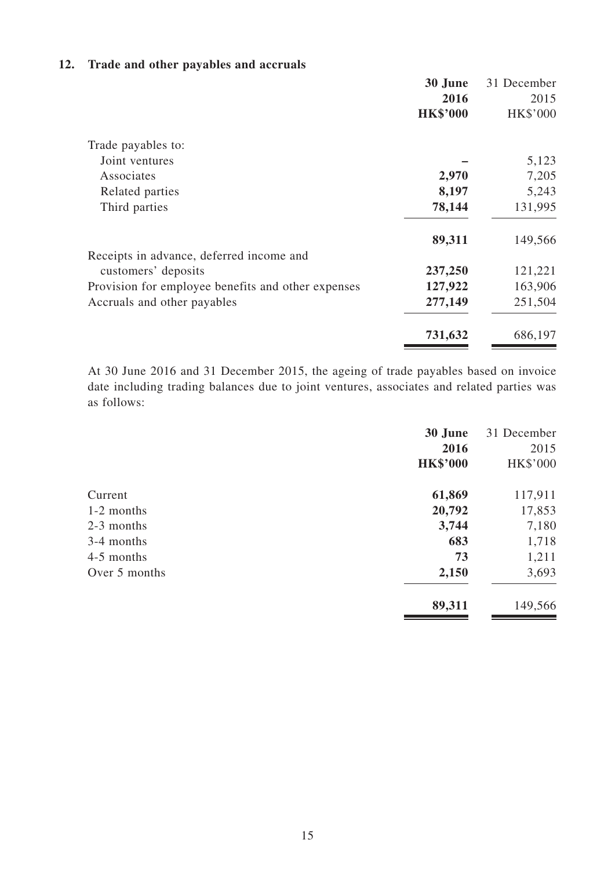## **12. Trade and other payables and accruals**

| 30 June                                                       | 31 December     |
|---------------------------------------------------------------|-----------------|
|                                                               | 2016<br>2015    |
| <b>HK\$'000</b>                                               | <b>HK\$'000</b> |
| Trade payables to:                                            |                 |
| Joint ventures                                                | 5,123           |
| 2,970<br>Associates                                           | 7,205           |
| 8,197<br>Related parties                                      | 5,243           |
| 78,144<br>Third parties                                       | 131,995         |
| 89,311                                                        | 149,566         |
| Receipts in advance, deferred income and                      |                 |
| 237,250<br>customers' deposits                                | 121,221         |
| 127,922<br>Provision for employee benefits and other expenses | 163,906         |
| 277,149<br>Accruals and other payables                        | 251,504         |
| 731,632                                                       | 686,197         |

At 30 June 2016 and 31 December 2015, the ageing of trade payables based on invoice date including trading balances due to joint ventures, associates and related parties was as follows:

|               | 30 June         | 31 December |
|---------------|-----------------|-------------|
|               | 2016            | 2015        |
|               | <b>HK\$'000</b> | HK\$'000    |
| Current       | 61,869          | 117,911     |
| 1-2 months    | 20,792          | 17,853      |
| 2-3 months    | 3,744           | 7,180       |
| 3-4 months    | 683             | 1,718       |
| 4-5 months    | 73              | 1,211       |
| Over 5 months | 2,150           | 3,693       |
|               | 89,311          | 149,566     |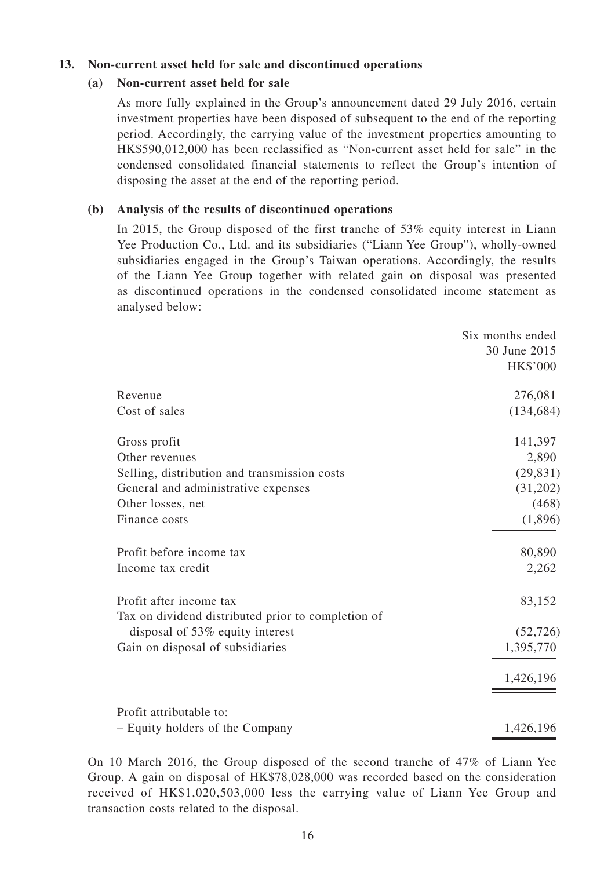## **13. Non-current asset held for sale and discontinued operations**

#### **(a) Non-current asset held for sale**

As more fully explained in the Group's announcement dated 29 July 2016, certain investment properties have been disposed of subsequent to the end of the reporting period. Accordingly, the carrying value of the investment properties amounting to HK\$590,012,000 has been reclassified as "Non-current asset held for sale" in the condensed consolidated financial statements to reflect the Group's intention of disposing the asset at the end of the reporting period.

#### **(b) Analysis of the results of discontinued operations**

In 2015, the Group disposed of the first tranche of 53% equity interest in Liann Yee Production Co., Ltd. and its subsidiaries ("Liann Yee Group"), wholly-owned subsidiaries engaged in the Group's Taiwan operations. Accordingly, the results of the Liann Yee Group together with related gain on disposal was presented as discontinued operations in the condensed consolidated income statement as analysed below:

|                                                    | Six months ended |
|----------------------------------------------------|------------------|
|                                                    | 30 June 2015     |
|                                                    | <b>HK\$'000</b>  |
| Revenue                                            | 276,081          |
| Cost of sales                                      | (134, 684)       |
| Gross profit                                       | 141,397          |
| Other revenues                                     | 2,890            |
| Selling, distribution and transmission costs       | (29, 831)        |
| General and administrative expenses                | (31,202)         |
| Other losses, net                                  | (468)            |
| Finance costs                                      | (1,896)          |
| Profit before income tax                           | 80,890           |
| Income tax credit                                  | 2,262            |
| Profit after income tax                            | 83,152           |
| Tax on dividend distributed prior to completion of |                  |
| disposal of 53% equity interest                    | (52, 726)        |
| Gain on disposal of subsidiaries                   | 1,395,770        |
|                                                    | 1,426,196        |
| Profit attributable to:                            |                  |
| - Equity holders of the Company                    | 1,426,196        |

On 10 March 2016, the Group disposed of the second tranche of 47% of Liann Yee Group. A gain on disposal of HK\$78,028,000 was recorded based on the consideration received of HK\$1,020,503,000 less the carrying value of Liann Yee Group and transaction costs related to the disposal.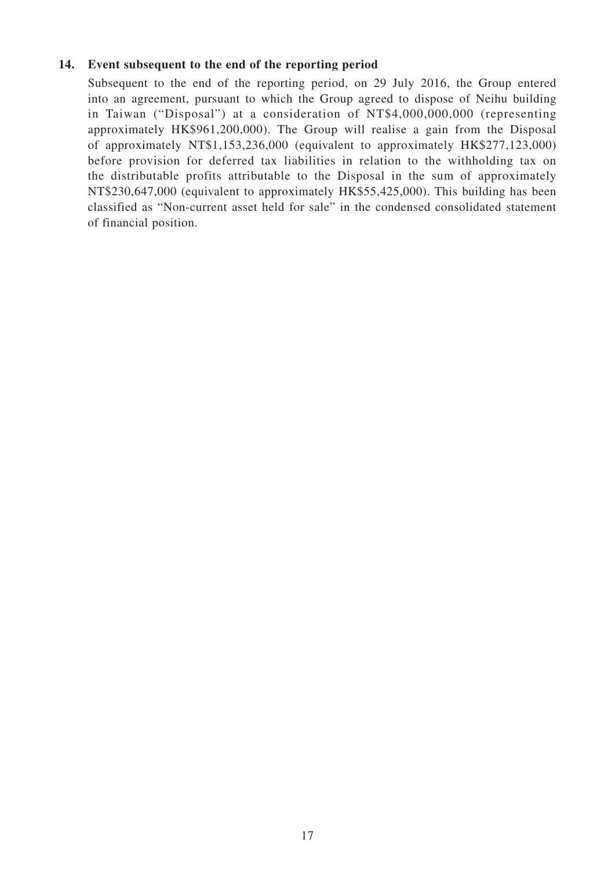## **14. Event subsequent to the end of the reporting period**

Subsequent to the end of the reporting period, on 29 July 2016, the Group entered into an agreement, pursuant to which the Group agreed to dispose of Neihu building in Taiwan ("Disposal") at a consideration of NT\$4,000,000,000 (representing approximately HK\$961,200,000). The Group will realise a gain from the Disposal of approximately NT\$1,153,236,000 (equivalent to approximately HK\$277,123,000) before provision for deferred tax liabilities in relation to the withholding tax on the distributable profits attributable to the Disposal in the sum of approximately NT\$230,647,000 (equivalent to approximately HK\$55,425,000). This building has been classified as "Non-current asset held for sale" in the condensed consolidated statement of financial position.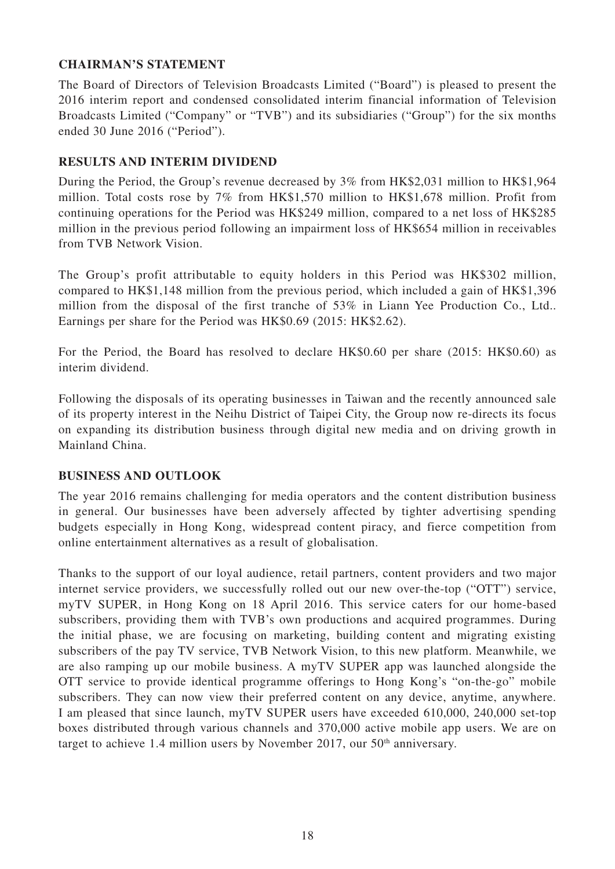## **CHAIRMAN'S STATEMENT**

The Board of Directors of Television Broadcasts Limited ("Board") is pleased to present the 2016 interim report and condensed consolidated interim financial information of Television Broadcasts Limited ("Company" or "TVB") and its subsidiaries ("Group") for the six months ended 30 June 2016 ("Period").

## **RESULTS AND INTERIM DIVIDEND**

During the Period, the Group's revenue decreased by 3% from HK\$2,031 million to HK\$1,964 million. Total costs rose by 7% from HK\$1,570 million to HK\$1,678 million. Profit from continuing operations for the Period was HK\$249 million, compared to a net loss of HK\$285 million in the previous period following an impairment loss of HK\$654 million in receivables from TVB Network Vision.

The Group's profit attributable to equity holders in this Period was HK\$302 million, compared to HK\$1,148 million from the previous period, which included a gain of HK\$1,396 million from the disposal of the first tranche of 53% in Liann Yee Production Co., Ltd.. Earnings per share for the Period was HK\$0.69 (2015: HK\$2.62).

For the Period, the Board has resolved to declare HK\$0.60 per share (2015: HK\$0.60) as interim dividend.

Following the disposals of its operating businesses in Taiwan and the recently announced sale of its property interest in the Neihu District of Taipei City, the Group now re-directs its focus on expanding its distribution business through digital new media and on driving growth in Mainland China.

## **BUSINESS AND OUTLOOK**

The year 2016 remains challenging for media operators and the content distribution business in general. Our businesses have been adversely affected by tighter advertising spending budgets especially in Hong Kong, widespread content piracy, and fierce competition from online entertainment alternatives as a result of globalisation.

Thanks to the support of our loyal audience, retail partners, content providers and two major internet service providers, we successfully rolled out our new over-the-top ("OTT") service, myTV SUPER, in Hong Kong on 18 April 2016. This service caters for our home-based subscribers, providing them with TVB's own productions and acquired programmes. During the initial phase, we are focusing on marketing, building content and migrating existing subscribers of the pay TV service, TVB Network Vision, to this new platform. Meanwhile, we are also ramping up our mobile business. A myTV SUPER app was launched alongside the OTT service to provide identical programme offerings to Hong Kong's "on-the-go" mobile subscribers. They can now view their preferred content on any device, anytime, anywhere. I am pleased that since launch, myTV SUPER users have exceeded 610,000, 240,000 set-top boxes distributed through various channels and 370,000 active mobile app users. We are on target to achieve 1.4 million users by November 2017, our  $50<sup>th</sup>$  anniversary.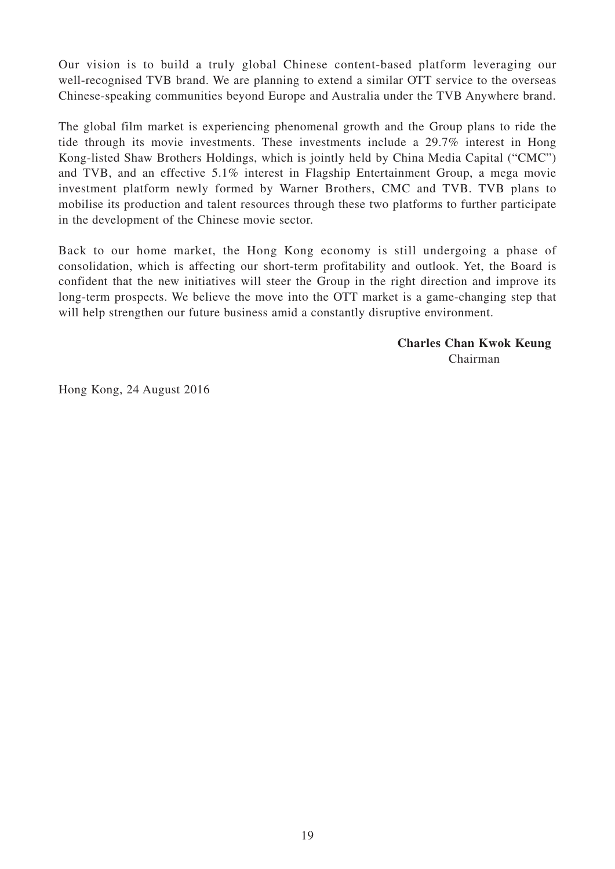Our vision is to build a truly global Chinese content-based platform leveraging our well-recognised TVB brand. We are planning to extend a similar OTT service to the overseas Chinese-speaking communities beyond Europe and Australia under the TVB Anywhere brand.

The global film market is experiencing phenomenal growth and the Group plans to ride the tide through its movie investments. These investments include a 29.7% interest in Hong Kong-listed Shaw Brothers Holdings, which is jointly held by China Media Capital ("CMC") and TVB, and an effective 5.1% interest in Flagship Entertainment Group, a mega movie investment platform newly formed by Warner Brothers, CMC and TVB. TVB plans to mobilise its production and talent resources through these two platforms to further participate in the development of the Chinese movie sector.

Back to our home market, the Hong Kong economy is still undergoing a phase of consolidation, which is affecting our short-term profitability and outlook. Yet, the Board is confident that the new initiatives will steer the Group in the right direction and improve its long-term prospects. We believe the move into the OTT market is a game-changing step that will help strengthen our future business amid a constantly disruptive environment.

> **Charles Chan Kwok Keung** Chairman

Hong Kong, 24 August 2016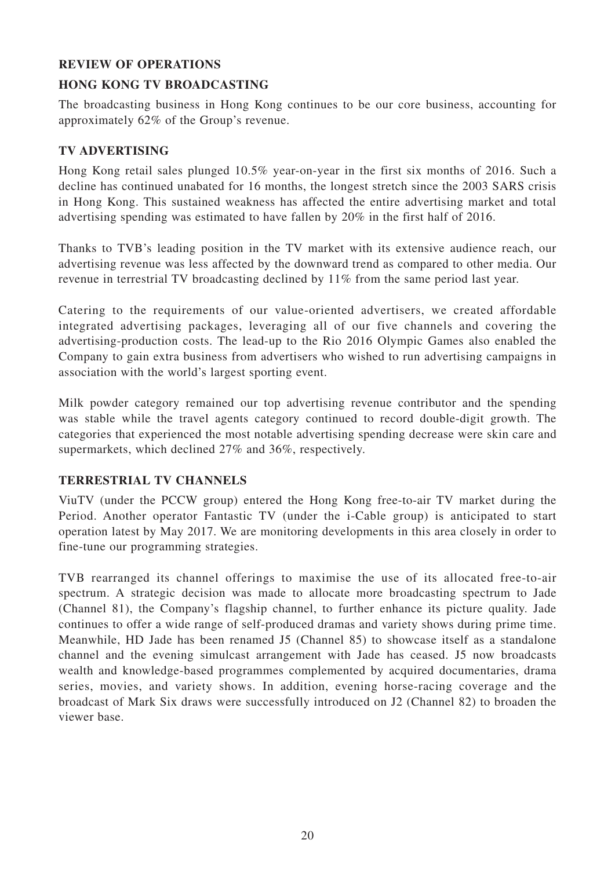## **REVIEW OF OPERATIONS**

## **HONG KONG TV BROADCASTING**

The broadcasting business in Hong Kong continues to be our core business, accounting for approximately 62% of the Group's revenue.

## **TV ADVERTISING**

Hong Kong retail sales plunged 10.5% year-on-year in the first six months of 2016. Such a decline has continued unabated for 16 months, the longest stretch since the 2003 SARS crisis in Hong Kong. This sustained weakness has affected the entire advertising market and total advertising spending was estimated to have fallen by 20% in the first half of 2016.

Thanks to TVB's leading position in the TV market with its extensive audience reach, our advertising revenue was less affected by the downward trend as compared to other media. Our revenue in terrestrial TV broadcasting declined by 11% from the same period last year.

Catering to the requirements of our value-oriented advertisers, we created affordable integrated advertising packages, leveraging all of our five channels and covering the advertising-production costs. The lead-up to the Rio 2016 Olympic Games also enabled the Company to gain extra business from advertisers who wished to run advertising campaigns in association with the world's largest sporting event.

Milk powder category remained our top advertising revenue contributor and the spending was stable while the travel agents category continued to record double-digit growth. The categories that experienced the most notable advertising spending decrease were skin care and supermarkets, which declined 27% and 36%, respectively.

## **TERRESTRIAL TV CHANNELS**

ViuTV (under the PCCW group) entered the Hong Kong free-to-air TV market during the Period. Another operator Fantastic TV (under the i-Cable group) is anticipated to start operation latest by May 2017. We are monitoring developments in this area closely in order to fine-tune our programming strategies.

TVB rearranged its channel offerings to maximise the use of its allocated free-to-air spectrum. A strategic decision was made to allocate more broadcasting spectrum to Jade (Channel 81), the Company's flagship channel, to further enhance its picture quality. Jade continues to offer a wide range of self-produced dramas and variety shows during prime time. Meanwhile, HD Jade has been renamed J5 (Channel 85) to showcase itself as a standalone channel and the evening simulcast arrangement with Jade has ceased. J5 now broadcasts wealth and knowledge-based programmes complemented by acquired documentaries, drama series, movies, and variety shows. In addition, evening horse-racing coverage and the broadcast of Mark Six draws were successfully introduced on J2 (Channel 82) to broaden the viewer base.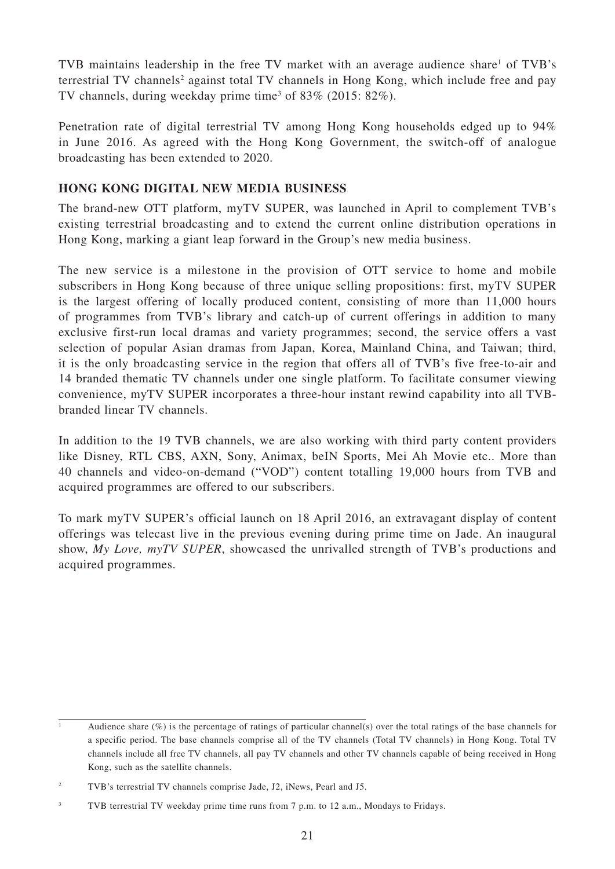TVB maintains leadership in the free TV market with an average audience share<sup>1</sup> of TVB's terrestrial TV channels<sup>2</sup> against total TV channels in Hong Kong, which include free and pay TV channels, during weekday prime time<sup>3</sup> of 83% (2015: 82%).

Penetration rate of digital terrestrial TV among Hong Kong households edged up to 94% in June 2016. As agreed with the Hong Kong Government, the switch-off of analogue broadcasting has been extended to 2020.

## **HONG KONG DIGITAL NEW MEDIA BUSINESS**

The brand-new OTT platform, myTV SUPER, was launched in April to complement TVB's existing terrestrial broadcasting and to extend the current online distribution operations in Hong Kong, marking a giant leap forward in the Group's new media business.

The new service is a milestone in the provision of OTT service to home and mobile subscribers in Hong Kong because of three unique selling propositions: first, myTV SUPER is the largest offering of locally produced content, consisting of more than 11,000 hours of programmes from TVB's library and catch-up of current offerings in addition to many exclusive first-run local dramas and variety programmes; second, the service offers a vast selection of popular Asian dramas from Japan, Korea, Mainland China, and Taiwan; third, it is the only broadcasting service in the region that offers all of TVB's five free-to-air and 14 branded thematic TV channels under one single platform. To facilitate consumer viewing convenience, myTV SUPER incorporates a three-hour instant rewind capability into all TVBbranded linear TV channels.

In addition to the 19 TVB channels, we are also working with third party content providers like Disney, RTL CBS, AXN, Sony, Animax, beIN Sports, Mei Ah Movie etc.. More than 40 channels and video-on-demand ("VOD") content totalling 19,000 hours from TVB and acquired programmes are offered to our subscribers.

To mark myTV SUPER's official launch on 18 April 2016, an extravagant display of content offerings was telecast live in the previous evening during prime time on Jade. An inaugural show, *My Love, myTV SUPER*, showcased the unrivalled strength of TVB's productions and acquired programmes.

<sup>1</sup> Audience share (%) is the percentage of ratings of particular channel(s) over the total ratings of the base channels for a specific period. The base channels comprise all of the TV channels (Total TV channels) in Hong Kong. Total TV channels include all free TV channels, all pay TV channels and other TV channels capable of being received in Hong Kong, such as the satellite channels.

<sup>2</sup> TVB's terrestrial TV channels comprise Jade, J2, iNews, Pearl and J5.

<sup>3</sup> TVB terrestrial TV weekday prime time runs from 7 p.m. to 12 a.m., Mondays to Fridays.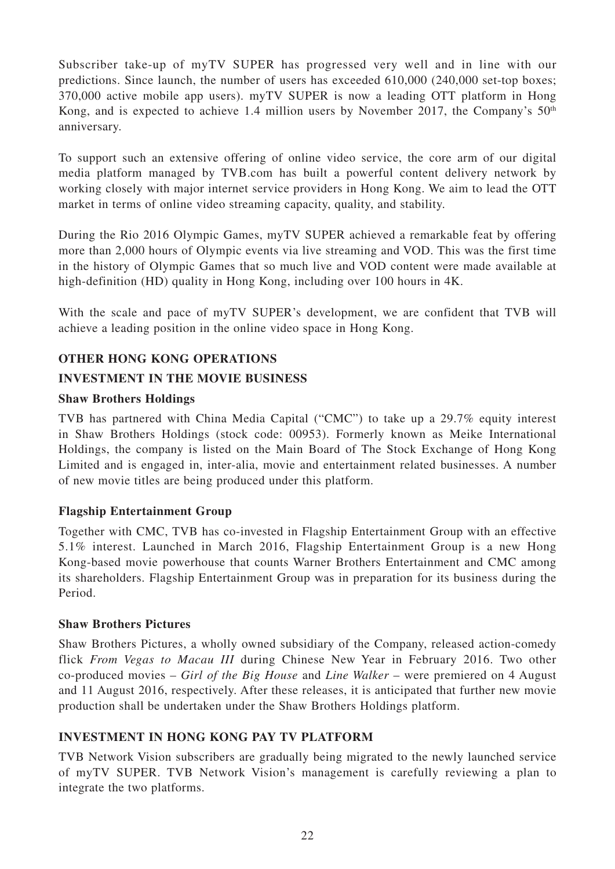Subscriber take-up of myTV SUPER has progressed very well and in line with our predictions. Since launch, the number of users has exceeded 610,000 (240,000 set-top boxes; 370,000 active mobile app users). myTV SUPER is now a leading OTT platform in Hong Kong, and is expected to achieve 1.4 million users by November 2017, the Company's  $50<sup>th</sup>$ anniversary.

To support such an extensive offering of online video service, the core arm of our digital media platform managed by TVB.com has built a powerful content delivery network by working closely with major internet service providers in Hong Kong. We aim to lead the OTT market in terms of online video streaming capacity, quality, and stability.

During the Rio 2016 Olympic Games, myTV SUPER achieved a remarkable feat by offering more than 2,000 hours of Olympic events via live streaming and VOD. This was the first time in the history of Olympic Games that so much live and VOD content were made available at high-definition (HD) quality in Hong Kong, including over 100 hours in 4K.

With the scale and pace of myTV SUPER's development, we are confident that TVB will achieve a leading position in the online video space in Hong Kong.

## **OTHER HONG KONG OPERATIONS**

## **INVESTMENT IN THE MOVIE BUSINESS**

## **Shaw Brothers Holdings**

TVB has partnered with China Media Capital ("CMC") to take up a 29.7% equity interest in Shaw Brothers Holdings (stock code: 00953). Formerly known as Meike International Holdings, the company is listed on the Main Board of The Stock Exchange of Hong Kong Limited and is engaged in, inter-alia, movie and entertainment related businesses. A number of new movie titles are being produced under this platform.

## **Flagship Entertainment Group**

Together with CMC, TVB has co-invested in Flagship Entertainment Group with an effective 5.1% interest. Launched in March 2016, Flagship Entertainment Group is a new Hong Kong-based movie powerhouse that counts Warner Brothers Entertainment and CMC among its shareholders. Flagship Entertainment Group was in preparation for its business during the Period.

## **Shaw Brothers Pictures**

Shaw Brothers Pictures, a wholly owned subsidiary of the Company, released action-comedy flick *From Vegas to Macau III* during Chinese New Year in February 2016. Two other co-produced movies – *Girl of the Big House* and *Line Walker* – were premiered on 4 August and 11 August 2016, respectively. After these releases, it is anticipated that further new movie production shall be undertaken under the Shaw Brothers Holdings platform.

## **INVESTMENT IN HONG KONG PAY TV PLATFORM**

TVB Network Vision subscribers are gradually being migrated to the newly launched service of myTV SUPER. TVB Network Vision's management is carefully reviewing a plan to integrate the two platforms.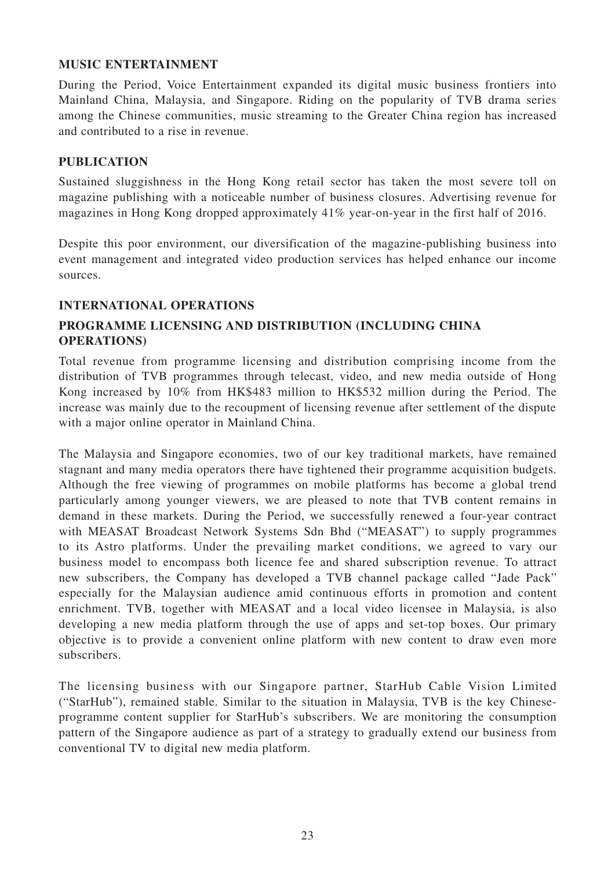## **MUSIC ENTERTAINMENT**

During the Period, Voice Entertainment expanded its digital music business frontiers into Mainland China, Malaysia, and Singapore. Riding on the popularity of TVB drama series among the Chinese communities, music streaming to the Greater China region has increased and contributed to a rise in revenue.

## **PUBLICATION**

Sustained sluggishness in the Hong Kong retail sector has taken the most severe toll on magazine publishing with a noticeable number of business closures. Advertising revenue for magazines in Hong Kong dropped approximately 41% year-on-year in the first half of 2016.

Despite this poor environment, our diversification of the magazine-publishing business into event management and integrated video production services has helped enhance our income sources.

## **INTERNATIONAL OPERATIONS**

## **PROGRAMME LICENSING AND DISTRIBUTION (INCLUDING CHINA OPERATIONS)**

Total revenue from programme licensing and distribution comprising income from the distribution of TVB programmes through telecast, video, and new media outside of Hong Kong increased by 10% from HK\$483 million to HK\$532 million during the Period. The increase was mainly due to the recoupment of licensing revenue after settlement of the dispute with a major online operator in Mainland China.

The Malaysia and Singapore economies, two of our key traditional markets, have remained stagnant and many media operators there have tightened their programme acquisition budgets. Although the free viewing of programmes on mobile platforms has become a global trend particularly among younger viewers, we are pleased to note that TVB content remains in demand in these markets. During the Period, we successfully renewed a four-year contract with MEASAT Broadcast Network Systems Sdn Bhd ("MEASAT") to supply programmes to its Astro platforms. Under the prevailing market conditions, we agreed to vary our business model to encompass both licence fee and shared subscription revenue. To attract new subscribers, the Company has developed a TVB channel package called "Jade Pack" especially for the Malaysian audience amid continuous efforts in promotion and content enrichment. TVB, together with MEASAT and a local video licensee in Malaysia, is also developing a new media platform through the use of apps and set-top boxes. Our primary objective is to provide a convenient online platform with new content to draw even more subscribers.

The licensing business with our Singapore partner, StarHub Cable Vision Limited ("StarHub"), remained stable. Similar to the situation in Malaysia, TVB is the key Chineseprogramme content supplier for StarHub's subscribers. We are monitoring the consumption pattern of the Singapore audience as part of a strategy to gradually extend our business from conventional TV to digital new media platform.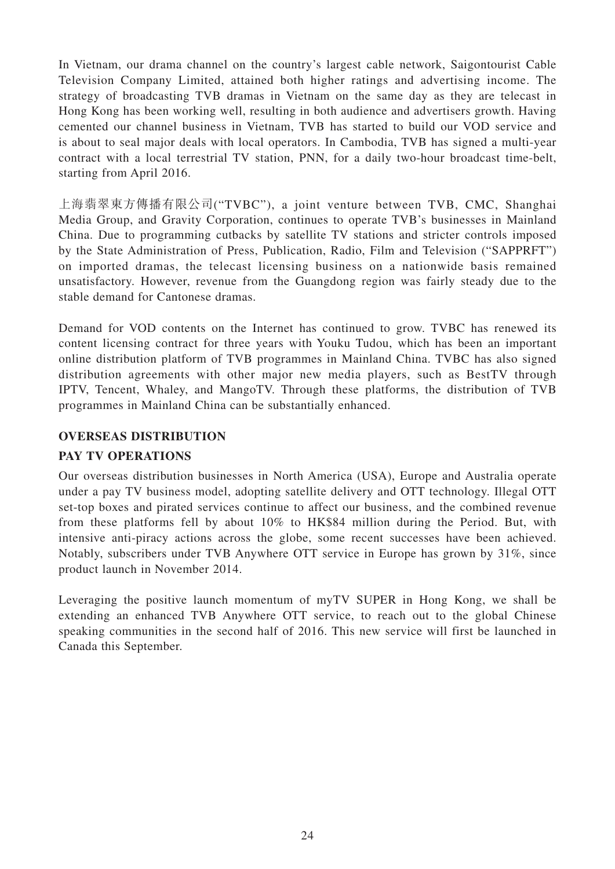In Vietnam, our drama channel on the country's largest cable network, Saigontourist Cable Television Company Limited, attained both higher ratings and advertising income. The strategy of broadcasting TVB dramas in Vietnam on the same day as they are telecast in Hong Kong has been working well, resulting in both audience and advertisers growth. Having cemented our channel business in Vietnam, TVB has started to build our VOD service and is about to seal major deals with local operators. In Cambodia, TVB has signed a multi-year contract with a local terrestrial TV station, PNN, for a daily two-hour broadcast time-belt, starting from April 2016.

上海翡翠東方傳播有限公司("TVBC"), a joint venture between TVB, CMC, Shanghai Media Group, and Gravity Corporation, continues to operate TVB's businesses in Mainland China. Due to programming cutbacks by satellite TV stations and stricter controls imposed by the State Administration of Press, Publication, Radio, Film and Television ("SAPPRFT") on imported dramas, the telecast licensing business on a nationwide basis remained unsatisfactory. However, revenue from the Guangdong region was fairly steady due to the stable demand for Cantonese dramas.

Demand for VOD contents on the Internet has continued to grow. TVBC has renewed its content licensing contract for three years with Youku Tudou, which has been an important online distribution platform of TVB programmes in Mainland China. TVBC has also signed distribution agreements with other major new media players, such as BestTV through IPTV, Tencent, Whaley, and MangoTV. Through these platforms, the distribution of TVB programmes in Mainland China can be substantially enhanced.

## **OVERSEAS DISTRIBUTION**

## **PAY TV OPERATIONS**

Our overseas distribution businesses in North America (USA), Europe and Australia operate under a pay TV business model, adopting satellite delivery and OTT technology. Illegal OTT set-top boxes and pirated services continue to affect our business, and the combined revenue from these platforms fell by about 10% to HK\$84 million during the Period. But, with intensive anti-piracy actions across the globe, some recent successes have been achieved. Notably, subscribers under TVB Anywhere OTT service in Europe has grown by 31%, since product launch in November 2014.

Leveraging the positive launch momentum of myTV SUPER in Hong Kong, we shall be extending an enhanced TVB Anywhere OTT service, to reach out to the global Chinese speaking communities in the second half of 2016. This new service will first be launched in Canada this September.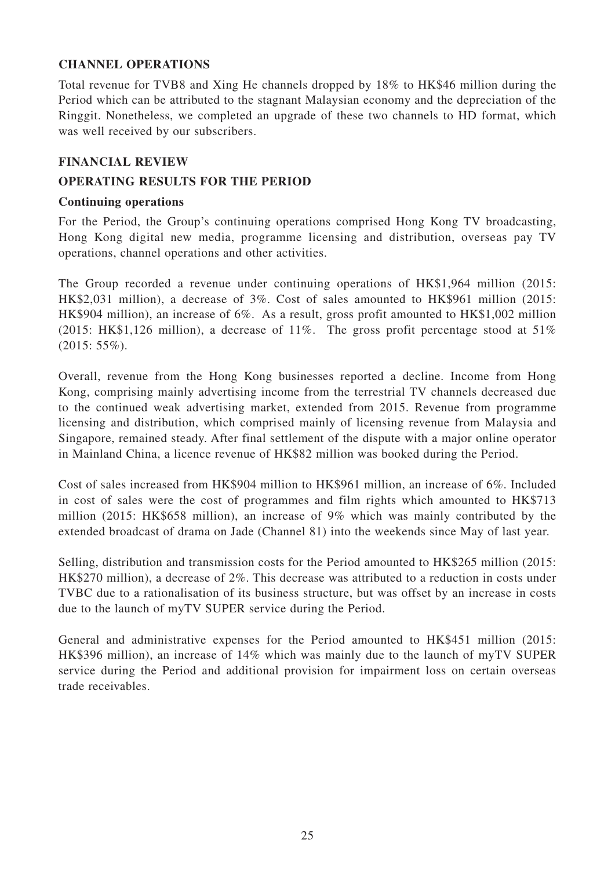## **CHANNEL OPERATIONS**

Total revenue for TVB8 and Xing He channels dropped by 18% to HK\$46 million during the Period which can be attributed to the stagnant Malaysian economy and the depreciation of the Ringgit. Nonetheless, we completed an upgrade of these two channels to HD format, which was well received by our subscribers.

## **FINANCIAL REVIEW**

## **OPERATING RESULTS FOR THE PERIOD**

## **Continuing operations**

For the Period, the Group's continuing operations comprised Hong Kong TV broadcasting, Hong Kong digital new media, programme licensing and distribution, overseas pay TV operations, channel operations and other activities.

The Group recorded a revenue under continuing operations of HK\$1,964 million (2015: HK\$2,031 million), a decrease of 3%. Cost of sales amounted to HK\$961 million (2015: HK\$904 million), an increase of 6%. As a result, gross profit amounted to HK\$1,002 million (2015: HK\$1,126 million), a decrease of 11%. The gross profit percentage stood at 51% (2015: 55%).

Overall, revenue from the Hong Kong businesses reported a decline. Income from Hong Kong, comprising mainly advertising income from the terrestrial TV channels decreased due to the continued weak advertising market, extended from 2015. Revenue from programme licensing and distribution, which comprised mainly of licensing revenue from Malaysia and Singapore, remained steady. After final settlement of the dispute with a major online operator in Mainland China, a licence revenue of HK\$82 million was booked during the Period.

Cost of sales increased from HK\$904 million to HK\$961 million, an increase of 6%. Included in cost of sales were the cost of programmes and film rights which amounted to HK\$713 million (2015: HK\$658 million), an increase of 9% which was mainly contributed by the extended broadcast of drama on Jade (Channel 81) into the weekends since May of last year.

Selling, distribution and transmission costs for the Period amounted to HK\$265 million (2015: HK\$270 million), a decrease of 2%. This decrease was attributed to a reduction in costs under TVBC due to a rationalisation of its business structure, but was offset by an increase in costs due to the launch of myTV SUPER service during the Period.

General and administrative expenses for the Period amounted to HK\$451 million (2015: HK\$396 million), an increase of 14% which was mainly due to the launch of myTV SUPER service during the Period and additional provision for impairment loss on certain overseas trade receivables.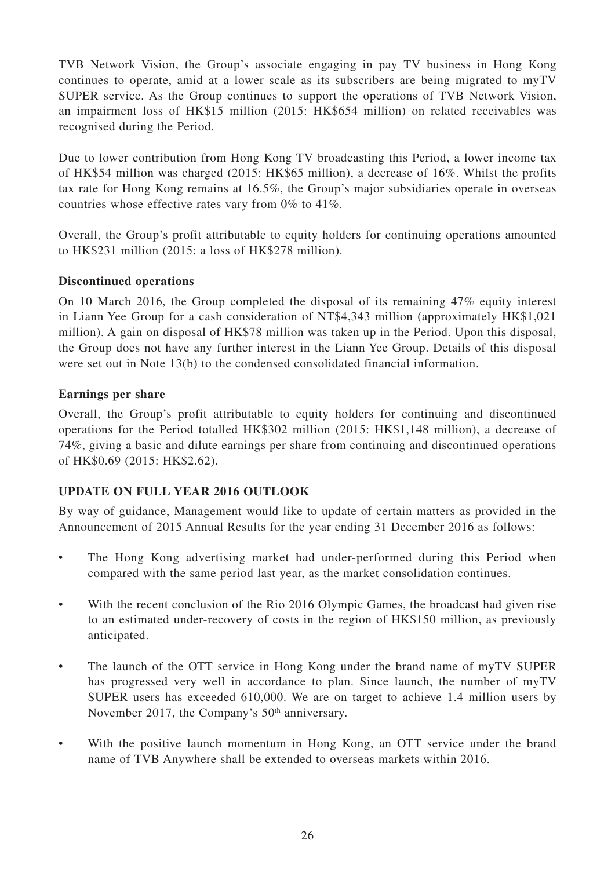TVB Network Vision, the Group's associate engaging in pay TV business in Hong Kong continues to operate, amid at a lower scale as its subscribers are being migrated to myTV SUPER service. As the Group continues to support the operations of TVB Network Vision, an impairment loss of HK\$15 million (2015: HK\$654 million) on related receivables was recognised during the Period.

Due to lower contribution from Hong Kong TV broadcasting this Period, a lower income tax of HK\$54 million was charged (2015: HK\$65 million), a decrease of 16%. Whilst the profits tax rate for Hong Kong remains at 16.5%, the Group's major subsidiaries operate in overseas countries whose effective rates vary from 0% to 41%.

Overall, the Group's profit attributable to equity holders for continuing operations amounted to HK\$231 million (2015: a loss of HK\$278 million).

## **Discontinued operations**

On 10 March 2016, the Group completed the disposal of its remaining 47% equity interest in Liann Yee Group for a cash consideration of NT\$4,343 million (approximately HK\$1,021 million). A gain on disposal of HK\$78 million was taken up in the Period. Upon this disposal, the Group does not have any further interest in the Liann Yee Group. Details of this disposal were set out in Note 13(b) to the condensed consolidated financial information.

## **Earnings per share**

Overall, the Group's profit attributable to equity holders for continuing and discontinued operations for the Period totalled HK\$302 million (2015: HK\$1,148 million), a decrease of 74%, giving a basic and dilute earnings per share from continuing and discontinued operations of HK\$0.69 (2015: HK\$2.62).

## **UPDATE ON FULL YEAR 2016 OUTLOOK**

By way of guidance, Management would like to update of certain matters as provided in the Announcement of 2015 Annual Results for the year ending 31 December 2016 as follows:

- The Hong Kong advertising market had under-performed during this Period when compared with the same period last year, as the market consolidation continues.
- With the recent conclusion of the Rio 2016 Olympic Games, the broadcast had given rise to an estimated under-recovery of costs in the region of HK\$150 million, as previously anticipated.
- The launch of the OTT service in Hong Kong under the brand name of myTV SUPER has progressed very well in accordance to plan. Since launch, the number of myTV SUPER users has exceeded 610,000. We are on target to achieve 1.4 million users by November 2017, the Company's 50<sup>th</sup> anniversary.
- With the positive launch momentum in Hong Kong, an OTT service under the brand name of TVB Anywhere shall be extended to overseas markets within 2016.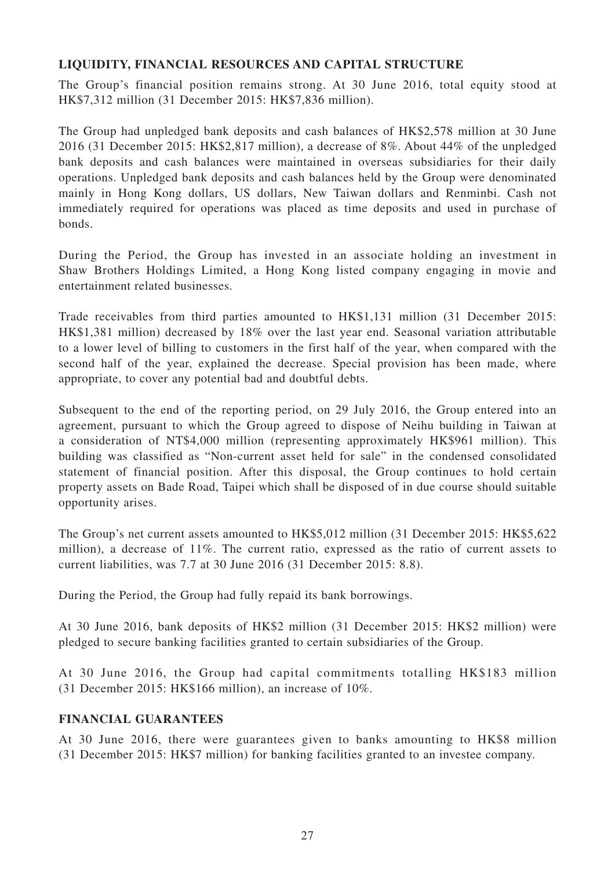## **LIQUIDITY, FINANCIAL RESOURCES AND CAPITAL STRUCTURE**

The Group's financial position remains strong. At 30 June 2016, total equity stood at HK\$7,312 million (31 December 2015: HK\$7,836 million).

The Group had unpledged bank deposits and cash balances of HK\$2,578 million at 30 June 2016 (31 December 2015: HK\$2,817 million), a decrease of 8%. About 44% of the unpledged bank deposits and cash balances were maintained in overseas subsidiaries for their daily operations. Unpledged bank deposits and cash balances held by the Group were denominated mainly in Hong Kong dollars, US dollars, New Taiwan dollars and Renminbi. Cash not immediately required for operations was placed as time deposits and used in purchase of bonds.

During the Period, the Group has invested in an associate holding an investment in Shaw Brothers Holdings Limited, a Hong Kong listed company engaging in movie and entertainment related businesses.

Trade receivables from third parties amounted to HK\$1,131 million (31 December 2015: HK\$1,381 million) decreased by 18% over the last year end. Seasonal variation attributable to a lower level of billing to customers in the first half of the year, when compared with the second half of the year, explained the decrease. Special provision has been made, where appropriate, to cover any potential bad and doubtful debts.

Subsequent to the end of the reporting period, on 29 July 2016, the Group entered into an agreement, pursuant to which the Group agreed to dispose of Neihu building in Taiwan at a consideration of NT\$4,000 million (representing approximately HK\$961 million). This building was classified as "Non-current asset held for sale" in the condensed consolidated statement of financial position. After this disposal, the Group continues to hold certain property assets on Bade Road, Taipei which shall be disposed of in due course should suitable opportunity arises.

The Group's net current assets amounted to HK\$5,012 million (31 December 2015: HK\$5,622 million), a decrease of 11%. The current ratio, expressed as the ratio of current assets to current liabilities, was 7.7 at 30 June 2016 (31 December 2015: 8.8).

During the Period, the Group had fully repaid its bank borrowings.

At 30 June 2016, bank deposits of HK\$2 million (31 December 2015: HK\$2 million) were pledged to secure banking facilities granted to certain subsidiaries of the Group.

At 30 June 2016, the Group had capital commitments totalling HK\$183 million (31 December 2015: HK\$166 million), an increase of 10%.

## **FINANCIAL GUARANTEES**

At 30 June 2016, there were guarantees given to banks amounting to HK\$8 million (31 December 2015: HK\$7 million) for banking facilities granted to an investee company.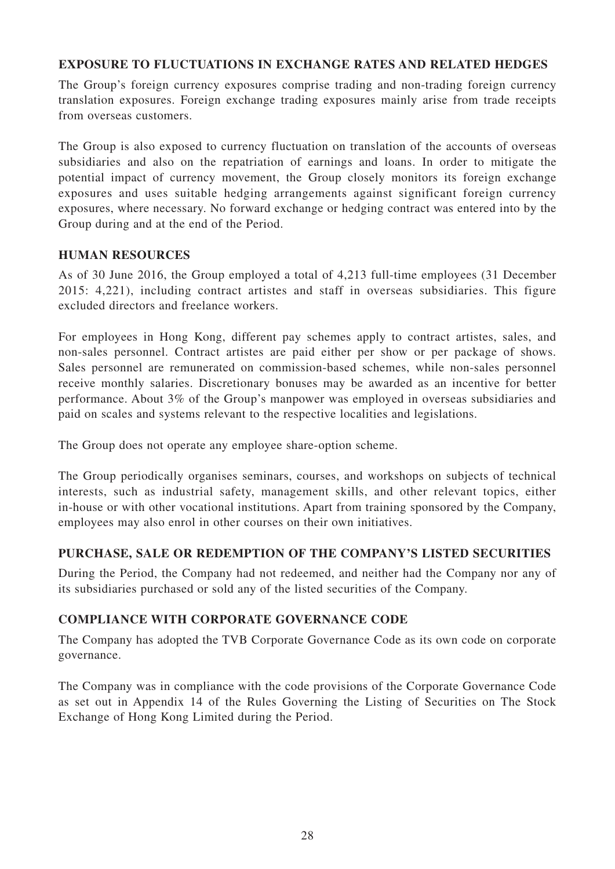## **EXPOSURE TO FLUCTUATIONS IN EXCHANGE RATES AND RELATED HEDGES**

The Group's foreign currency exposures comprise trading and non-trading foreign currency translation exposures. Foreign exchange trading exposures mainly arise from trade receipts from overseas customers.

The Group is also exposed to currency fluctuation on translation of the accounts of overseas subsidiaries and also on the repatriation of earnings and loans. In order to mitigate the potential impact of currency movement, the Group closely monitors its foreign exchange exposures and uses suitable hedging arrangements against significant foreign currency exposures, where necessary. No forward exchange or hedging contract was entered into by the Group during and at the end of the Period.

## **HUMAN RESOURCES**

As of 30 June 2016, the Group employed a total of 4,213 full-time employees (31 December 2015: 4,221), including contract artistes and staff in overseas subsidiaries. This figure excluded directors and freelance workers.

For employees in Hong Kong, different pay schemes apply to contract artistes, sales, and non-sales personnel. Contract artistes are paid either per show or per package of shows. Sales personnel are remunerated on commission-based schemes, while non-sales personnel receive monthly salaries. Discretionary bonuses may be awarded as an incentive for better performance. About 3% of the Group's manpower was employed in overseas subsidiaries and paid on scales and systems relevant to the respective localities and legislations.

The Group does not operate any employee share-option scheme.

The Group periodically organises seminars, courses, and workshops on subjects of technical interests, such as industrial safety, management skills, and other relevant topics, either in-house or with other vocational institutions. Apart from training sponsored by the Company, employees may also enrol in other courses on their own initiatives.

## **PURCHASE, SALE OR REDEMPTION OF THE COMPANY'S LISTED SECURITIES**

During the Period, the Company had not redeemed, and neither had the Company nor any of its subsidiaries purchased or sold any of the listed securities of the Company.

## **COMPLIANCE WITH CORPORATE GOVERNANCE CODE**

The Company has adopted the TVB Corporate Governance Code as its own code on corporate governance.

The Company was in compliance with the code provisions of the Corporate Governance Code as set out in Appendix 14 of the Rules Governing the Listing of Securities on The Stock Exchange of Hong Kong Limited during the Period.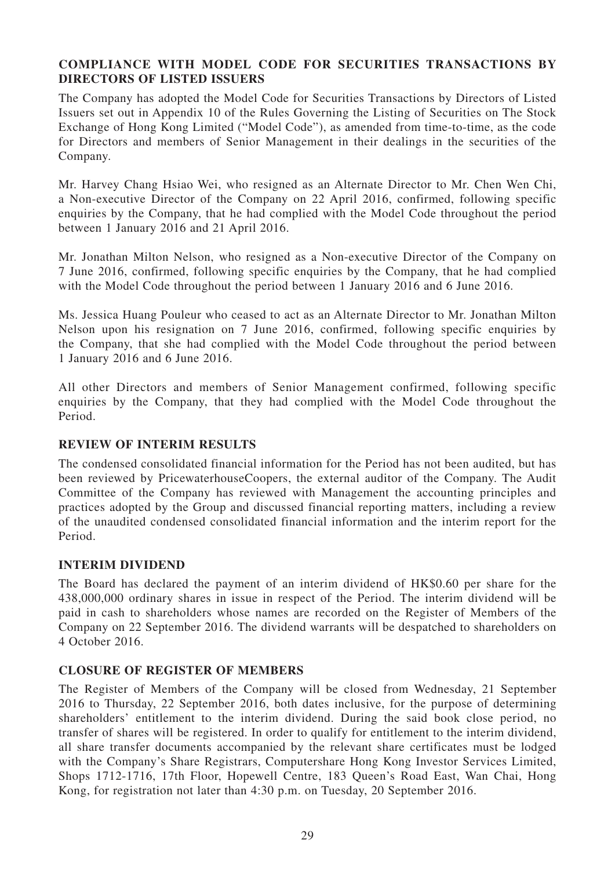## **COMPLIANCE WITH MODEL CODE FOR SECURITIES TRANSACTIONS BY DIRECTORS OF LISTED ISSUERS**

The Company has adopted the Model Code for Securities Transactions by Directors of Listed Issuers set out in Appendix 10 of the Rules Governing the Listing of Securities on The Stock Exchange of Hong Kong Limited ("Model Code"), as amended from time-to-time, as the code for Directors and members of Senior Management in their dealings in the securities of the Company.

Mr. Harvey Chang Hsiao Wei, who resigned as an Alternate Director to Mr. Chen Wen Chi, a Non-executive Director of the Company on 22 April 2016, confirmed, following specific enquiries by the Company, that he had complied with the Model Code throughout the period between 1 January 2016 and 21 April 2016.

Mr. Jonathan Milton Nelson, who resigned as a Non-executive Director of the Company on 7 June 2016, confirmed, following specific enquiries by the Company, that he had complied with the Model Code throughout the period between 1 January 2016 and 6 June 2016.

Ms. Jessica Huang Pouleur who ceased to act as an Alternate Director to Mr. Jonathan Milton Nelson upon his resignation on 7 June 2016, confirmed, following specific enquiries by the Company, that she had complied with the Model Code throughout the period between 1 January 2016 and 6 June 2016.

All other Directors and members of Senior Management confirmed, following specific enquiries by the Company, that they had complied with the Model Code throughout the Period.

## **REVIEW OF INTERIM RESULTS**

The condensed consolidated financial information for the Period has not been audited, but has been reviewed by PricewaterhouseCoopers, the external auditor of the Company. The Audit Committee of the Company has reviewed with Management the accounting principles and practices adopted by the Group and discussed financial reporting matters, including a review of the unaudited condensed consolidated financial information and the interim report for the Period.

## **INTERIM DIVIDEND**

The Board has declared the payment of an interim dividend of HK\$0.60 per share for the 438,000,000 ordinary shares in issue in respect of the Period. The interim dividend will be paid in cash to shareholders whose names are recorded on the Register of Members of the Company on 22 September 2016. The dividend warrants will be despatched to shareholders on 4 October 2016.

## **CLOSURE OF REGISTER OF MEMBERS**

The Register of Members of the Company will be closed from Wednesday, 21 September 2016 to Thursday, 22 September 2016, both dates inclusive, for the purpose of determining shareholders' entitlement to the interim dividend. During the said book close period, no transfer of shares will be registered. In order to qualify for entitlement to the interim dividend, all share transfer documents accompanied by the relevant share certificates must be lodged with the Company's Share Registrars, Computershare Hong Kong Investor Services Limited, Shops 1712-1716, 17th Floor, Hopewell Centre, 183 Queen's Road East, Wan Chai, Hong Kong, for registration not later than 4:30 p.m. on Tuesday, 20 September 2016.